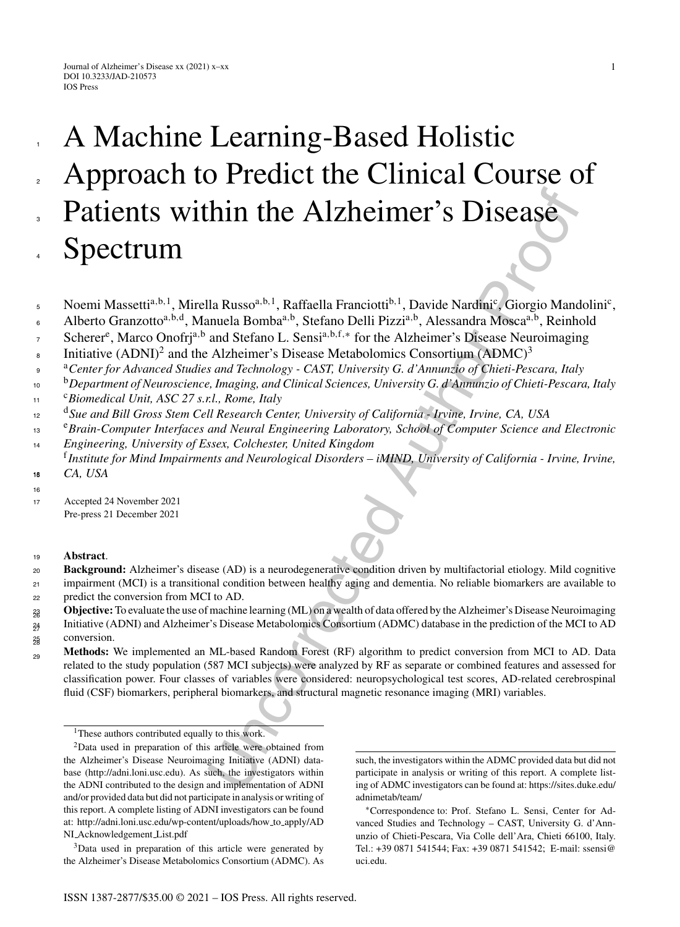# **Thin the Alzheimer's Disease**<br>
Ha Russo<sup>n,b.1</sup>, Raffaella Franciotti<sup>b.1</sup>, Davide Nardmi<sup>2</sup>, Giorgio Mand<br>
Illa Russo<sup>n,b.1</sup>, Raffaella Franciotti<sup>b.1</sup>, Davide Nardmi<sup>2</sup>, Giorgio Mand<br>
Intelaction L. Sinsi<sup>a M.1</sup>, Tor th A Machine Learning-Based Holistic Approach to Predict the Clinical Course of Patients within the Alzheimer's Disease Spectrum

- Noemi Massetti<sup>a,b,1</sup>, Mirella Russo<sup>a,b,1</sup>, Raffaella Franciotti<sup>b,1</sup>, Davide Nardini<sup>c</sup>, Giorgio Mandolini<sup>c</sup>, 5
- Alberto Granzotto<sup>a,b,d</sup>, Manuela Bomba<sup>a,b</sup>, Stefano Delli Pizzi<sup>a,b</sup>, Alessandra Mosca<sup>a,b</sup>, Reinhold 6
- Scherer<sup>e</sup>, Marco Onofrj<sup>a,b</sup> and Stefano L. Sensi<sup>a,b,f,\*</sup> for the Alzheimer's Disease Neuroimaging 7
- Initiative  $(ADNI)^2$  and the Alzheimer's Disease Metabolomics Consortium  $(ADMC)^3$ 8
- <sup>a</sup> <sup>9</sup> *Center for Advanced Studies and Technology CAST, University G. d'Annunzio of Chieti-Pescara, Italy*
- <sup>b</sup> <sup>10</sup> *Department of Neuroscience, Imaging, and Clinical Sciences, University G. d'Annunzio of Chieti-Pescara, Italy*
- <sup>c</sup> <sup>11</sup> *Biomedical Unit, ASC 27 s.r.l., Rome, Italy*
- <sup>d</sup> <sup>12</sup> *Sue and Bill Gross Stem Cell Research Center, University of California Irvine, Irvine, CA, USA*
- <sup>e</sup>*Brain-Computer Interfaces and Neural Engineering Laboratory, School of Computer Science and Electronic Engineering, University of Essex, Colchester, United Kingdom* 13 14
- <sup>f</sup>*Institute for Mind Impairments and Neurological Disorders iMIND, University of California Irvine, Irvine,*  $CA, USA$ 18
- 16

1

2

3

4

<sup>17</sup> Accepted 24 November 2021 Pre-press 21 December 2021

# <sup>19</sup> **Abstract**.

- **Background:** Alzheimer's disease (AD) is a neurodegenerative condition driven by multifactorial etiology. Mild cognitive impairment (MCI) is a transitional condition between healthy aging and dementia. No reliable biomarkers are available to predict the conversion from MCI to AD. 20 21 22
- **Objective:**To evaluate the use of machine learning (ML) on a wealth of data offered by the Alzheimer's Disease Neuroimaging 23 26
- Initiative (ADNI) and Alzheimer's Disease Metabolomics Consortium (ADMC) database in the prediction of the MCI to AD conversion. 24 27 25 28
- **Methods:** We implemented an ML-based Random Forest (RF) algorithm to predict conversion from MCI to AD. Data related to the study population (587 MCI subjects) were analyzed by RF as separate or combined features and assessed for classification power. Four classes of variables were considered: neuropsychological test scores, AD-related cerebrospinal fluid (CSF) biomarkers, peripheral biomarkers, and structural magnetic resonance imaging (MRI) variables. <sub>29</sub>

<sup>&</sup>lt;sup>1</sup>These authors contributed equally to this work.

<sup>2</sup>Data used in preparation of this article were obtained from the Alzheimer's Disease Neuroimaging Initiative (ADNI) database (<http://adni.loni.usc.edu>). As such, the investigators within the ADNI contributed to the design and implementation of ADNI and/or provided data but did not participate in analysis or writing of this report. A complete listing of ADNI investigators can be found at: [http://adni.loni.usc.edu/wp-content/uploads/how](http://adni.loni.usc.edu/wp-content/uploads/how_to_apply/ADNI_Acknowledgement_List.pdf) to apply/AD NI Acknowledgement List.pdf

<sup>3</sup>Data used in preparation of this article were generated by the Alzheimer's Disease Metabolomics Consortium (ADMC). As

such, the investigators within the ADMC provided data but did not participate in analysis or writing of this report. A complete listing of ADMC investigators can be found at: https://sites.duke.edu/ adnimetab/team/

<sup>∗</sup>Correspondence to: Prof. Stefano L. Sensi, Center for Advanced Studies and Technology – CAST, University G. d'Annunzio of Chieti-Pescara, Via Colle dell'Ara, Chieti 66100, Italy. Tel.: +39 0871 541544; Fax: +39 0871 541542; E-mail: [ssensi@](mailto:ssensi@{penalty -@M }uci.edu) uci.edu.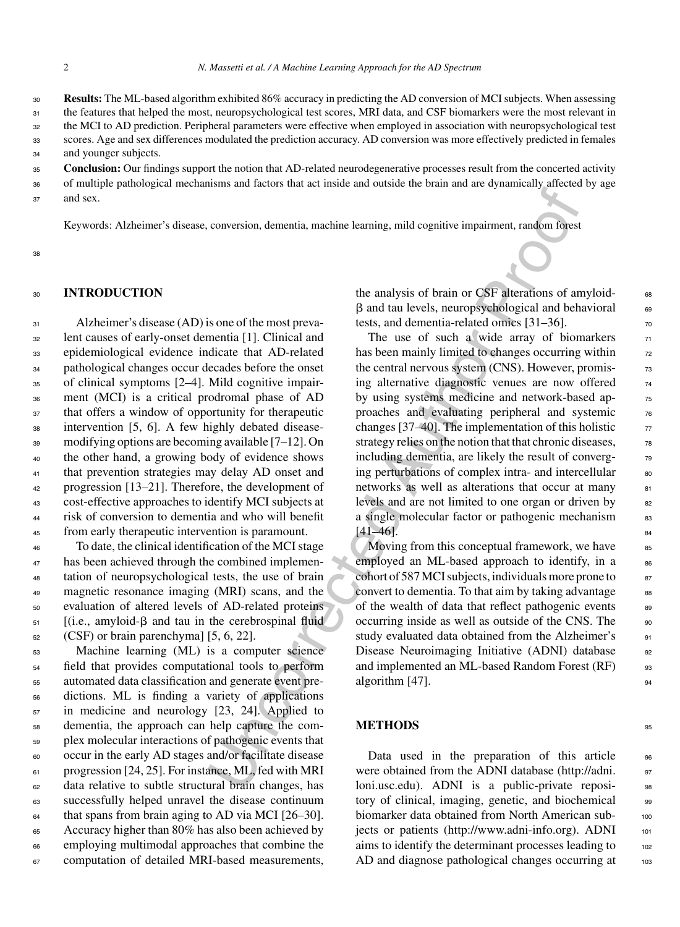**Results:** The ML-based algorithm exhibited 86% accuracy in predicting the AD conversion of MCI subjects. When assessing the features that helped the most, neuropsychological test scores, MRI data, and CSF biomarkers were the most relevant in the MCI to AD prediction. Peripheral parameters were effective when employed in association with neuropsychological test scores. Age and sex differences modulated the prediction accuracy. AD conversion was more effectively predicted in females and younger subjects. 30 31 32  $33$ 34

**Conclusion:** Our findings support the notion that AD-related neurodegenerative processes result from the concerted activity 35

of multiple pathological mechanisms and factors that act inside and outside the brain and are dynamically affected by age and sex. 36 37

Keywords: Alzheimer's disease, conversion, dementia, machine learning, mild cognitive impairment, random forest

38

## <sup>30</sup> **INTRODUCTION**

 Alzheimer's disease (AD) is one of the most preva- lent causes of early-onset dementia [1]. Clinical and epidemiological evidence indicate that AD-related pathological changes occur decades before the onset of clinical symptoms [2–4]. Mild cognitive impair- ment (MCI) is a critical prodromal phase of AD that offers a window of opportunity for therapeutic intervention [5, 6]. A few highly debated disease- modifying options are becoming available [7–12]. On the other hand, a growing body of evidence shows that prevention strategies may delay AD onset and progression [13–21]. Therefore, the development of cost-effective approaches to identify MCI subjects at risk of conversion to dementia and who will benefit from early therapeutic intervention is paramount.

 To date, the clinical identification of the MCI stage has been achieved through the combined implemen- tation of neuropsychological tests, the use of brain magnetic resonance imaging (MRI) scans, and the evaluation of altered levels of AD-related proteins [(i.e., amyloid- $\beta$  and tau in the cerebrospinal fluid (CSF) or brain parenchyma] [5, 6, 22].

 Machine learning (ML) is a computer science field that provides computational tools to perform automated data classification and generate event pre- dictions. ML is finding a variety of applications in medicine and neurology [23, 24]. Applied to dementia, the approach can help capture the com- plex molecular interactions of pathogenic events that occur in the early AD stages and/or facilitate disease 61 progression [24, 25]. For instance, ML, fed with MRI data relative to subtle structural brain changes, has successfully helped unravel the disease continuum  $\epsilon_{4}$  that spans from brain aging to AD via MCI [26–30]. Accuracy higher than 80% has also been achieved by employing multimodal approaches that combine the computation of detailed MRI-based measurements,

the analysis of brain or CSF alterations of amyloid- $\beta$  and tau levels, neuropsychological and behavioral  $\qquad$  69 tests, and dementia-related omics  $[31-36]$ .

conversion, dementia, machine learning, mild cognitive impairment, random forest<br>
the analysis of brain or CSF alterations of a<br>
the analysis of brain or CSF alterations of a<br>
sion of the most prevailed and the use of suc The use of such a wide array of biomarkers  $71$ has been mainly limited to changes occurring within  $\frac{72}{2}$ the central nervous system (CNS). However, promising alternative diagnostic venues are now offered  $\frac{74}{6}$ by using systems medicine and network-based approaches and evaluating peripheral and systemic  $76$ changes [37–40]. The implementation of this holistic  $\frac{77}{27}$ strategy relies on the notion that that chronic diseases,  $\frac{78}{8}$ including dementia, are likely the result of converging perturbations of complex intra- and intercellular 80 networks as well as alterations that occur at many 81 levels and are not limited to one organ or driven by 82 a single molecular factor or pathogenic mechanism 83  $[41-46]$ .

Moving from this conceptual framework, we have  $85$ employed an ML-based approach to identify, in a  $86$ cohort of 587 MCI subjects, individuals more prone to  $\frac{87}{2}$ convert to dementia. To that aim by taking advantage set of the wealth of data that reflect pathogenic events  $89$ occurring inside as well as outside of the CNS. The 90 study evaluated data obtained from the Alzheimer's 91 Disease Neuroimaging Initiative (ADNI) database 92 and implemented an ML-based Random Forest (RF) 93 algorithm  $[47]$ .

#### **METHODS** 95

Data used in the preparation of this article were obtained from the ADNI database ([http://adni.](http://adni.loni.usc.edu) <sup>97</sup> loni.usc.edu). ADNI is a public-private reposi- 98 tory of clinical, imaging, genetic, and biochemical 99 biomarker data obtained from North American sub-<br>100 jects or patients (<http://www.adni-info.org>). ADNI 101 aims to identify the determinant processes leading to 102 AD and diagnose pathological changes occurring at 103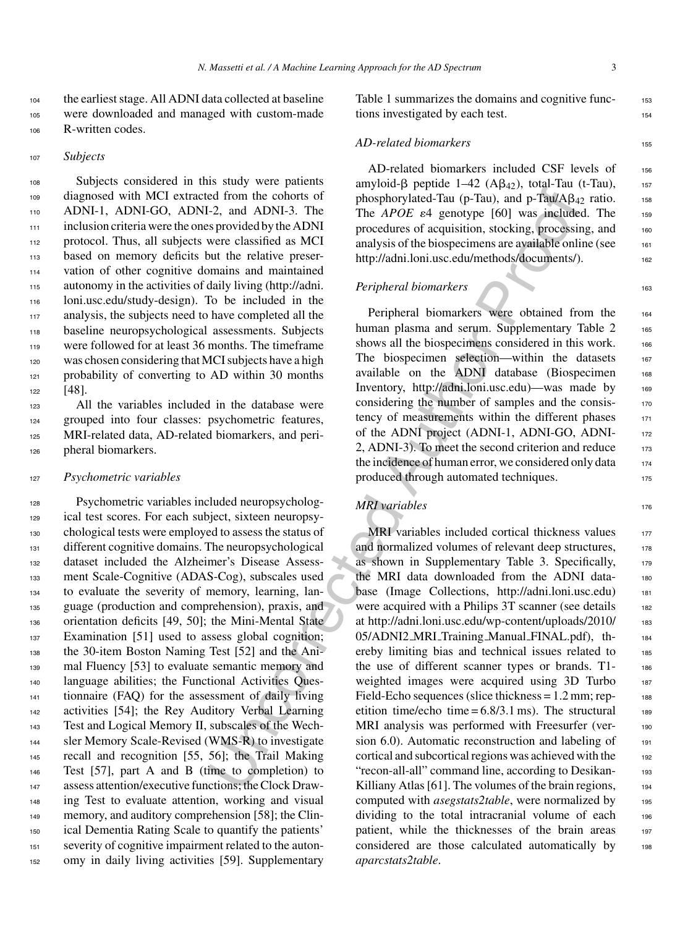<sup>104</sup> the earliest stage. All ADNI data collected at baseline <sup>105</sup> were downloaded and managed with custom-made <sup>106</sup> R-written codes.

#### <sup>107</sup> *Subjects*

 Subjects considered in this study were patients diagnosed with MCI extracted from the cohorts of ADNI-1, ADNI-GO, ADNI-2, and ADNI-3. The inclusion criteria were the ones provided by the ADNI protocol. Thus, all subjects were classified as MCI based on memory deficits but the relative preser- vation of other cognitive domains and maintained autonomy in the activities of daily living (http://adni. loni.usc.edu/study-design). To be included in the analysis, the subjects need to have completed all the baseline neuropsychological assessments. Subjects were followed for at least 36 months. The timeframe was chosen considering that MCI subjects have a high 121 probability of converting to AD within 30 months 122 [48].

 All the variables included in the database were grouped into four classes: psychometric features, MRI-related data, AD-related biomarkers, and peri-pheral biomarkers.

#### <sup>127</sup> *Psychometric variables*

 Psychometric variables included neuropsycholog- ical test scores. For each subject, sixteen neuropsy- chological tests were employed to assess the status of 131 different cognitive domains. The neuropsychological dataset included the Alzheimer's Disease Assess- ment Scale-Cognitive (ADAS-Cog), subscales used to evaluate the severity of memory, learning, lan- guage (production and comprehension), praxis, and orientation deficits [49, 50]; the Mini-Mental State Examination [51] used to assess global cognition; the 30-item Boston Naming Test [52] and the Ani-139 mal Fluency [53] to evaluate semantic memory and 140 language abilities; the Functional Activities Ques- tionnaire (FAQ) for the assessment of daily living 142 activities [54]; the Rey Auditory Verbal Learning Test and Logical Memory II, subscales of the Wech- sler Memory Scale-Revised (WMS-R) to investigate recall and recognition [55, 56]; the Trail Making Test [57], part A and B (time to completion) to assess attention/executive functions; the Clock Draw- ing Test to evaluate attention, working and visual 149 memory, and auditory comprehension [58]; the Clin- ical Dementia Rating Scale to quantify the patients' severity of cognitive impairment related to the auton-omy in daily living activities [59]. Supplementary

Table 1 summarizes the domains and cognitive functions investigated by each test.

# *AD-related biomarkers* 155

AD-related biomarkers included CSF levels of 156 amyloid- $\beta$  peptide 1–42 (A $\beta$ <sub>42</sub>), total-Tau (t-Tau), 157 phosphorylated-Tau (p-Tau), and p-Tau/A $\beta_{42}$  ratio. 158 The *APOE*  $\varepsilon$ 4 genotype [60] was included. The 159 procedures of acquisition, stocking, processing, and 160 analysis of the biospecimens are available online (see  $_{161}$ http://adni.loni.usc.edu/methods/documents/).

### *Peripheral biomarkers* 163

Peripheral biomarkers were obtained from the 164 human plasma and serum. Supplementary Table 2 165 shows all the biospecimens considered in this work. 166 The biospecimen selection—within the datasets 167 available on the ADNI database (Biospecimen 168 Inventory, http://adni.loni.usc.edu)—was made by 169 considering the number of samples and the consistency of measurements within the different phases 171 of the ADNI project (ADNI-1, ADNI-GO, ADNI-2, ADNI-3). To meet the second criterion and reduce  $173$ the incidence of human error, we considered only data  $174$ produced through automated techniques.

# *MRI variables* 176

ed from the co[ho](http://adni.loni.usc.edu)rts [o](http://adni.loni.usc.edu/methods/documents/)f<br>
emphasizon propartion. Contagned the propartion of<br>  $\sim$  2, and APsa(Aps)<br>  $\sim$  2, and APsa(E as included by the ADNI<br>
The *APso(E as a* approximately the ADNI<br>
The *APso(E as a* approximately the MRI variables included cortical thickness values  $177$ and normalized volumes of relevant deep structures, 178 as shown in Supplementary Table 3. Specifically, 179 the MRI data downloaded from the ADNI data- <sup>180</sup> base (Image Collections, [http://adni.loni.usc.edu\)](http://adni.loni.usc.edu) 181 were acquired with a Philips 3T scanner (see details 182 at [http://adni.loni.usc.edu/wp-content/uploads/2010/](http://adni.loni.usc.edu/wp-content/uploads/2010/05/ADNI2_MRI_Training_Manual_FINAL.pdf) 183 05/ADNI2\_MRI\_Training\_Manual\_FINAL.pdf), th-<br>184 ereby limiting bias and technical issues related to 185 the use of different scanner types or brands. T1- <sup>186</sup> weighted images were acquired using 3D Turbo 187 Field-Echo sequences (slice thickness  $= 1.2$  mm; repetition time/echo time =  $6.8/3.1$  ms). The structural 189 MRI analysis was performed with Freesurfer (ver-<br>190 sion  $6.0$ ). Automatic reconstruction and labeling of  $191$ cortical and subcortical regions was achieved with the 192 "recon-all-all" command line, according to Desikan-Killiany Atlas [61]. The volumes of the brain regions, 194 computed with *asegstats2table*, were normalized by 195 dividing to the total intracranial volume of each 196 patient, while the thicknesses of the brain areas 197 considered are those calculated automatically by 198 *aparcstats2table*.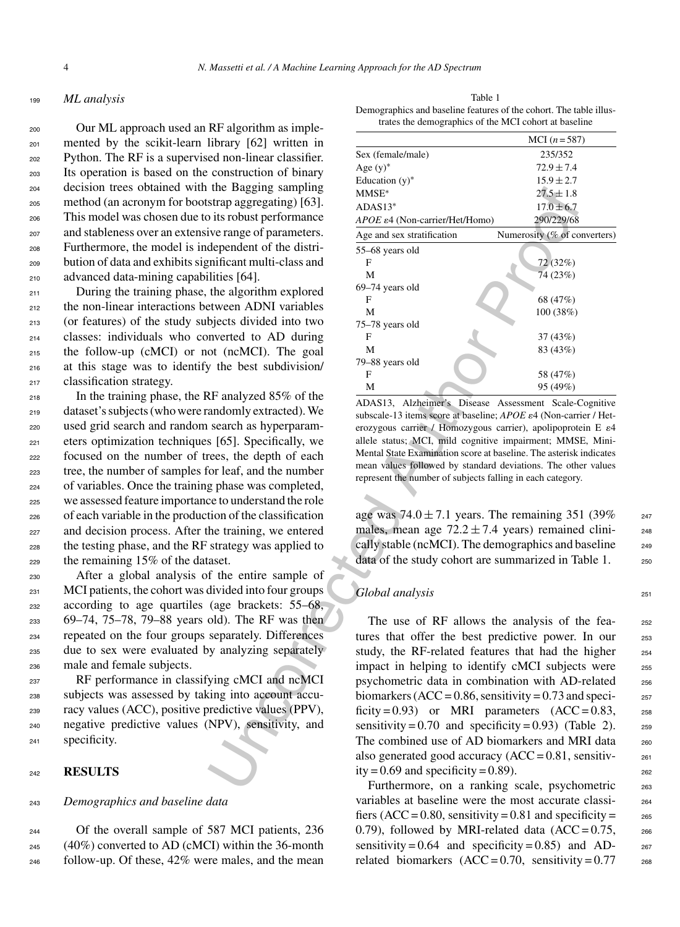## <sup>199</sup> *ML analysis*

 Our ML approach used an RF algorithm as imple- mented by the scikit-learn library [62] written in Python. The RF is a supervised non-linear classifier. Its operation is based on the construction of binary decision trees obtained with the Bagging sampling method (an acronym for bootstrap aggregating) [63]. This model was chosen due to its robust performance and stableness over an extensive range of parameters. Furthermore, the model is independent of the distri- bution of data and exhibits significant multi-class and advanced data-mining capabilities [64].

 During the training phase, the algorithm explored the non-linear interactions between ADNI variables (or features) of the study subjects divided into two classes: individuals who converted to AD during the follow-up (cMCI) or not (ncMCI). The goal at this stage was to identify the best subdivision/ classification strategy.

 In the training phase, the RF analyzed 85% of the dataset's subjects (who were randomly extracted). We used grid search and random search as hyperparam- eters optimization techniques [65]. Specifically, we focused on the number of trees, the depth of each tree, the number of samples for leaf, and the number of variables. Once the training phase was completed, we assessed feature importance to understand the role of each variable in the production of the classification and decision process. After the training, we entered the testing phase, and the RF strategy was applied to the remaining 15% of the dataset.

 After a global analysis of the entire sample of MCI patients, the cohort was divided into four groups according to age quartiles (age brackets: 55–68, 69–74, 75–78, 79–88 years old). The RF was then repeated on the four groups separately. Differences due to sex were evaluated by analyzing separately male and female subjects.

 RF performance in classifying cMCI and ncMCI subjects was assessed by taking into account accu- racy values (ACC), positive predictive values (PPV), negative predictive values (NPV), sensitivity, and specificity.

#### <sup>242</sup> **RESULTS**

#### <sup>243</sup> *Demographics and baseline data*

<sup>244</sup> Of the overall sample of 587 MCI patients, 236  $245$  (40%) converted to AD (cMCI) within the 36-month <sup>246</sup> follow-up. Of these, 42% were males, and the mean

Table 1 Demographics and baseline features of the cohort. The table illustrates the demographics of the MCI cohort at baseline

| ru argoriumi as mipr       |                                          |                                                                                                                                     |
|----------------------------|------------------------------------------|-------------------------------------------------------------------------------------------------------------------------------------|
| library [62] written in    |                                          | $MCI(n = 587)$                                                                                                                      |
| ed non-linear classifier.  | Sex (female/male)                        | 235/352                                                                                                                             |
| construction of binary     | Age $(y)^*$                              | $72.9 \pm 7.4$                                                                                                                      |
| the Bagging sampling       | Education $(y)^*$                        | $15.9 \pm 2.7$                                                                                                                      |
| strap aggregating) [63].   | MMSE*                                    | $27.5 \pm 1.8$                                                                                                                      |
|                            | $ADAS13*$                                | $17.0 \pm 6.7$                                                                                                                      |
| o its robust performance   | APOE &4 (Non-carrier/Het/Homo)           | 290/229/68                                                                                                                          |
| ive range of parameters.   | Age and sex stratification               | Numerosity (% of converters)                                                                                                        |
| dependent of the distri-   | 55-68 years old                          |                                                                                                                                     |
| mificant multi-class and   | F                                        | 72 (32%)                                                                                                                            |
| ilities [64].              | М                                        | 74 (23%)                                                                                                                            |
| the algorithm explored     | 69-74 years old<br>F                     | 68 (47%)                                                                                                                            |
| etween ADNI variables      | М                                        | 100 (38%)                                                                                                                           |
| bjects divided into two    | 75-78 years old                          |                                                                                                                                     |
| nverted to AD during       | F                                        | 37 (43%)                                                                                                                            |
| ot (ncMCI). The goal       | М                                        | 83 (43%)                                                                                                                            |
| y the best subdivision/    | 79-88 years old                          |                                                                                                                                     |
|                            | F                                        | 58 (47%)                                                                                                                            |
| RF analyzed 85% of the     | М                                        | 95 (49%)                                                                                                                            |
|                            |                                          | ADAS13, Alzheimer's Disease Assessment Scale-Cognitive                                                                              |
| andomly extracted). We     |                                          | subscale-13 items score at baseline; APOE ε4 (Non-carrier / Het-                                                                    |
| search as hyperparam-      |                                          | erozygous carrier / Homozygous carrier), apolipoprotein E ε4                                                                        |
| s [65]. Specifically, we   |                                          | allele status; MCI, mild cognitive impairment; MMSE, Mini-                                                                          |
| rees, the depth of each    |                                          | Mental State Examination score at baseline. The asterisk indicates<br>mean values followed by standard deviations. The other values |
| for leaf, and the number   |                                          | represent the number of subjects falling in each category.                                                                          |
| g phase was completed,     |                                          |                                                                                                                                     |
| ce to understand the role  |                                          |                                                                                                                                     |
| tion of the classification |                                          | age was $74.0 \pm 7.1$ years. The remaining 351 (39%)                                                                               |
| he training, we entered    |                                          | males, mean age $72.2 \pm 7.4$ years) remained clini-                                                                               |
| strategy was applied to    |                                          | cally stable (ncMCI). The demographics and baseline                                                                                 |
| aset.                      |                                          | data of the study cohort are summarized in Table 1.                                                                                 |
| f the entire sample of     |                                          |                                                                                                                                     |
| divided into four groups   |                                          |                                                                                                                                     |
|                            | Global analysis                          |                                                                                                                                     |
| (age brackets: 55–68,      |                                          |                                                                                                                                     |
| old). The RF was then      |                                          | The use of RF allows the analysis of the fea-                                                                                       |
| separately. Differences    |                                          | tures that offer the best predictive power. In our                                                                                  |
| y analyzing separately     |                                          | study, the RF-related features that had the higher                                                                                  |
|                            |                                          | impact in helping to identify cMCI subjects were                                                                                    |
| ying cMCI and ncMCI        |                                          | psychometric data in combination with AD-related                                                                                    |
| ing into account accu-     |                                          | biomarkers ( $ACC = 0.86$ , sensitivity = 0.73 and speci-                                                                           |
| predictive values (PPV),   |                                          | ficity=0.93) or MRI parameters $(ACC = 0.83,$                                                                                       |
| NPV), sensitivity, and     |                                          | sensitivity = $0.70$ and specificity = $0.93$ ) (Table 2).                                                                          |
|                            |                                          | The combined use of AD biomarkers and MRI data                                                                                      |
|                            |                                          | also generated good accuracy $(ACC = 0.81,$ sensitiv-                                                                               |
|                            | ity = $0.69$ and specificity = $0.89$ ). |                                                                                                                                     |
|                            |                                          |                                                                                                                                     |
|                            |                                          | Furthermore, on a ranking scale, psychometric                                                                                       |

age was  $74.0 \pm 7.1$  years. The remaining 351 (39% 247) males, mean age  $72.2 \pm 7.4$  years) remained clinically stable (ncMCI). The demographics and baseline  $_{249}$ data of the study cohort are summarized in Table 1. 250

### *Global analysis* 251

The use of RF allows the analysis of the fea-<br>252 tures that offer the best predictive power. In our 253 study, the RF-related features that had the higher  $254$ impact in helping to identify cMCI subjects were 255 psychometric data in combination with AD-related 256 biomarkers (ACC =  $0.86$ , sensitivity =  $0.73$  and speci- $257$ ficity = 0.93) or MRI parameters  $(ACC = 0.83,$  258 sensitivity =  $0.70$  and specificity =  $0.93$ ) (Table 2). 259 The combined use of AD biomarkers and MRI data  $_{260}$ also generated good accuracy  $(ACC = 0.81,$  sensitiv- $261$ ity =  $0.69$  and specificity =  $0.89$ ).

Furthermore, on a ranking scale, psychometric 263 variables at baseline were the most accurate classi- <sup>264</sup> fiers (ACC = 0.80, sensitivity = 0.81 and specificity =  $265$ 0.79), followed by MRI-related data  $(ACC = 0.75,$  266 sensitivity =  $0.64$  and specificity =  $0.85$ ) and ADrelated biomarkers  $(ACC = 0.70,$  sensitivity = 0.77 268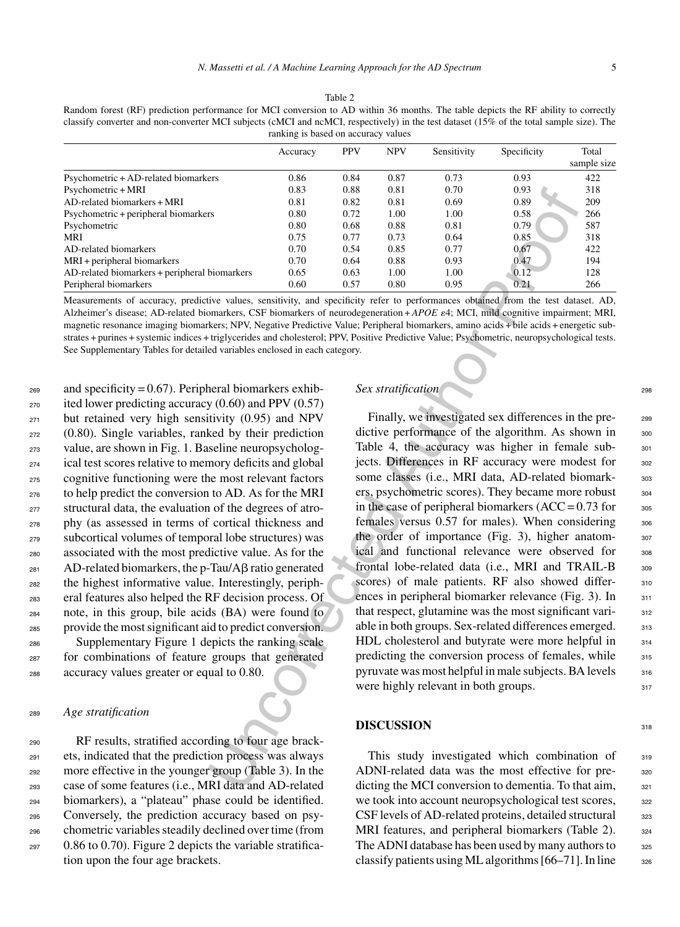| ranking is based on accuracy values           |          |            |            |             |             |             |  |  |
|-----------------------------------------------|----------|------------|------------|-------------|-------------|-------------|--|--|
|                                               | Accuracy | <b>PPV</b> | <b>NPV</b> | Sensitivity | Specificity | Total       |  |  |
|                                               |          |            |            |             |             | sample size |  |  |
| Psychometric + AD-related biomarkers          | 0.86     | 0.84       | 0.87       | 0.73        | 0.93        | 422         |  |  |
| Psychometric + MRI                            | 0.83     | 0.88       | 0.81       | 0.70        | 0.93        | 318         |  |  |
| AD-related biomarkers + MRI                   | 0.81     | 0.82       | 0.81       | 0.69        | 0.89        | 209         |  |  |
| Psychometric + peripheral biomarkers          | 0.80     | 0.72       | 1.00       | 1.00        | 0.58        | 266         |  |  |
| Psychometric                                  | 0.80     | 0.68       | 0.88       | 0.81        | 0.79        | 587         |  |  |
| MRI                                           | 0.75     | 0.77       | 0.73       | 0.64        | 0.85        | 318         |  |  |
| AD-related biomarkers                         | 0.70     | 0.54       | 0.85       | 0.77        | 0.67        | 422         |  |  |
| MRI + peripheral biomarkers                   | 0.70     | 0.64       | 0.88       | 0.93        | 0.47        | 194         |  |  |
| AD-related biomarkers + peripheral biomarkers | 0.65     | 0.63       | 1.00       | 1.00        | 0.12        | 128         |  |  |
| Peripheral biomarkers                         | 0.60     | 0.57       | 0.80       | 0.95        | 0.21        | 266         |  |  |

Table 2 Random forest (RF) prediction performance for MCI conversion to AD within 36 months. The table depicts the RF ability to correctly classify converter and non-converter MCI subjects (cMCI and ncMCI, respectively) in the test dataset (15% of the total sample size). The ranking is based on accuracy values

Measurements of accuracy, predictive values, sensitivity, and specificity refer to performances obtained from the test dataset. AD, Alzheimer's disease; AD-related biomarkers, CSF biomarkers of neurodegeneration + *APOE* 4; MCI, mild cognitive impairment; MRI, magnetic resonance imaging biomarkers; NPV, Negative Predictive Value; Peripheral biomarkers, amino acids + bile acids + energetic substrates + purines + systemic indices + triglycerides and cholesterol; PPV, Positive Predictive Value; Psychometric, neuropsychological tests. See Supplementary Tables for detailed variables enclosed in each category.

 $_{269}$  and specificity = 0.67). Peripheral biomarkers exhib- $_{270}$  ited lower predicting accuracy (0.60) and PPV (0.57) but retained very high sensitivity (0.95) and NPV (0.80). Single variables, ranked by their prediction value, are shown in Fig. 1. Baseline neuropsycholog- ical test scores relative to memory deficits and global cognitive functioning were the most relevant factors to help predict the conversion to AD. As for the MRI structural data, the evaluation of the degrees of atro- phy (as assessed in terms of cortical thickness and subcortical volumes of temporal lobe structures) was associated with the most predictive value. As for the AD-related biomarkers, the p-Tau/A $\beta$  ratio generated the highest informative value. Interestingly, periph- eral features also helped the RF decision process. Of note, in this group, bile acids (BA) were found to provide the most significant aid to predict conversion. Supplementary Figure 1 depicts the ranking scale

<sup>287</sup> for combinations of feature groups that generated <sup>288</sup> accuracy values greater or equal to 0.80.

#### <sup>289</sup> *Age stratification*

 RF results, stratified according to four age brack- ets, indicated that the prediction process was always more effective in the younger group (Table 3). In the case of some features (i.e., MRI data and AD-related biomarkers), a "plateau" phase could be identified. Conversely, the prediction accuracy based on psy- chometric variables steadily declined over time (from 0.86 to 0.70). Figure 2 depicts the variable stratification upon the four age brackets.

# **Sex stratification** 298

0.83 0.88 0.81 0.72<br>
IS 0.81 0.82 0.81 0.70 0.93<br>
16 0.81 0.82 0.81 0.00 0.89<br>
16 0.81 0.82 100 0.83<br>
16 0.83 0.72 100 0.83 0.81 0.93<br>
16 0.87 0.77 0.77 0.77 0.82 0.84 0.83 0.97 0.64<br>
16 0.87 0.97 0.94 0.85 0.81 0.97 0.97 Finally, we investigated sex differences in the predictive performance of the algorithm. As shown in 300 Table 4, the accuracy was higher in female sub-<br>301 jects. Differences in RF accuracy were modest for 302 some classes (i.e., MRI data, AD-related biomark-<br>303 ers, psychometric scores). They became more robust  $304$ in the case of peripheral biomarkers  $(ACC = 0.73$  for  $305$ females versus  $0.57$  for males). When considering  $306$ the order of importance (Fig. 3), higher anatomical and functional relevance were observed for 308 frontal lobe-related data (i.e., MRI and TRAIL-B 309 scores) of male patients. RF also showed differ-<br>310 ences in peripheral biomarker relevance (Fig. 3). In  $311$ that respect, glutamine was the most significant vari-<br>312 able in both groups. Sex-related differences emerged. 313 HDL cholesterol and butyrate were more helpful in 314 predicting the conversion process of females, while  $\frac{315}{315}$ pyruvate was most helpful in male subjects. BA levels  $316$ were highly relevant in both groups.  $317$ 

#### **DISCUSSION** 318

This study investigated which combination of 319 ADNI-related data was the most effective for pre-<br>320 dicting the MCI conversion to dementia. To that aim,  $321$ we took into account neuropsychological test scores,  $322$ CSF levels of AD-related proteins, detailed structural 323 MRI features, and peripheral biomarkers (Table 2). 324 The ADNI database has been used by many authors to 325 classify patients using ML algorithms  $[66–71]$ . In line  $326$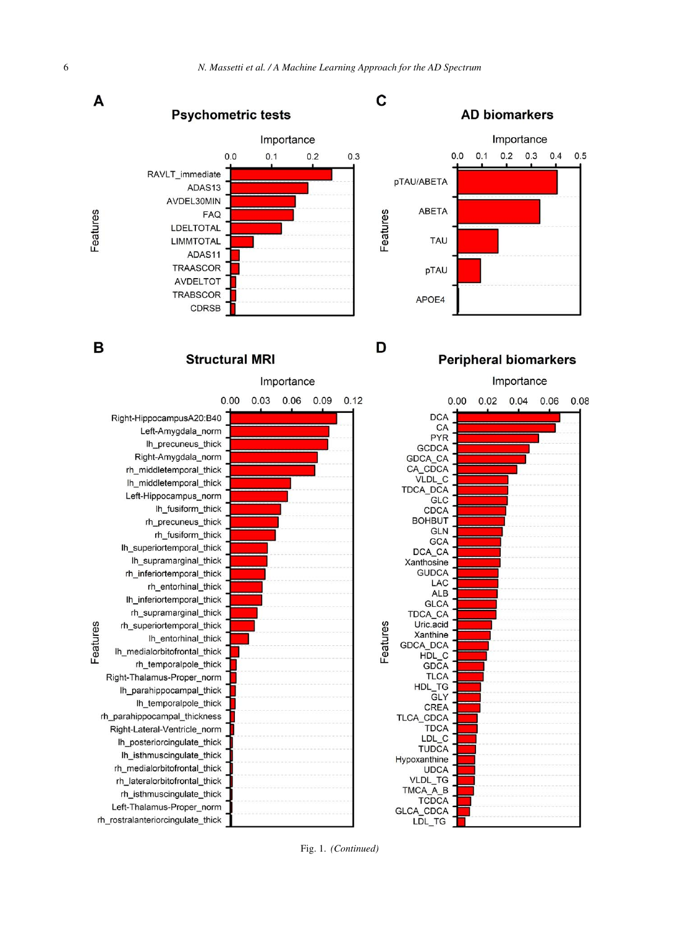

Fig. 1. *(Continued)*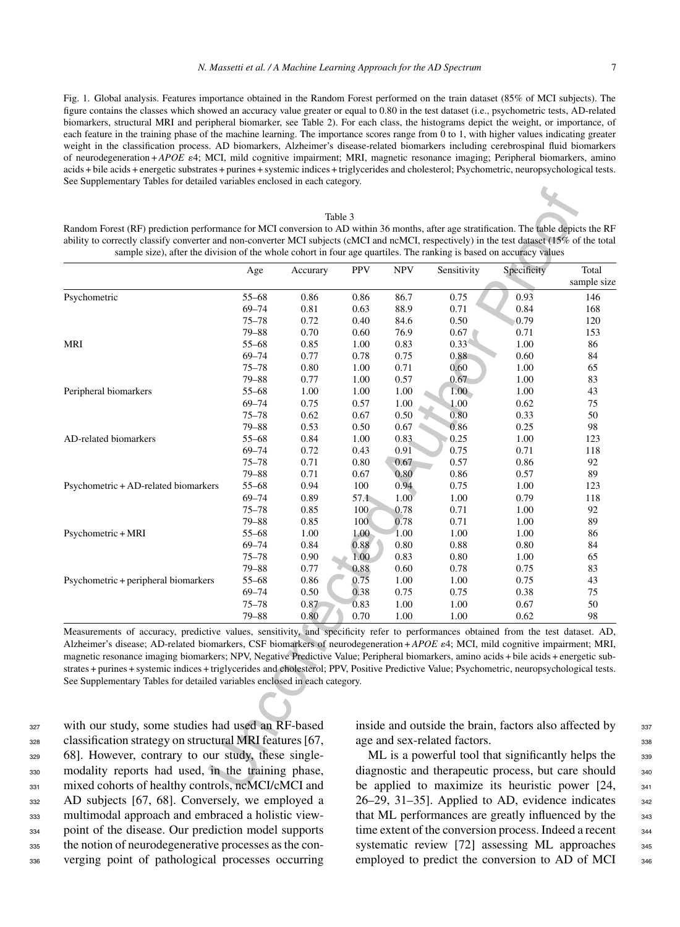Fig. 1. Global analysis. Features importance obtained in the Random Forest performed on the train dataset (85% of MCI subjects). The figure contains the classes which showed an accuracy value greater or equal to 0.80 in the test dataset (i.e., psychometric tests, AD-related biomarkers, structural MRI and peripheral biomarker, see Table 2). For each class, the histograms depict the weight, or importance, of each feature in the training phase of the machine learning. The importance scores range from 0 to 1, with higher values indicating greater weight in the classification process. AD biomarkers, Alzheimer's disease-related biomarkers including cerebrospinal fluid biomarkers of neurodegeneration + *APOE* 4; MCI, mild cognitive impairment; MRI, magnetic resonance imaging; Peripheral biomarkers, amino acids + bile acids + energetic substrates + purines + systemic indices + triglycerides and cholesterol; Psychometric, neuropsychological tests. See Supplementary Tables for detailed variables enclosed in each category.

#### Table 3

Random Forest (RF) prediction performance for MCI conversion to AD within 36 months, after age stratification. The table depicts the RF ability to correctly classify converter and non-converter MCI subjects (cMCI and ncMCI, respectively) in the test dataset (15% of the total sample size), after the division of the whole cohort in four age quartiles. The ranking is based on accuracy values

|                                                                                                                                                                                                                                                                                                                                                                                                                                                                                                                                                                                                                                                            | Age                | Accurary     | <b>PPV</b>   | <b>NPV</b>                                                                             | Sensitivity       | Specificity                                         | Total       |  |
|------------------------------------------------------------------------------------------------------------------------------------------------------------------------------------------------------------------------------------------------------------------------------------------------------------------------------------------------------------------------------------------------------------------------------------------------------------------------------------------------------------------------------------------------------------------------------------------------------------------------------------------------------------|--------------------|--------------|--------------|----------------------------------------------------------------------------------------|-------------------|-----------------------------------------------------|-------------|--|
|                                                                                                                                                                                                                                                                                                                                                                                                                                                                                                                                                                                                                                                            |                    |              |              |                                                                                        |                   |                                                     | sample size |  |
| Psychometric                                                                                                                                                                                                                                                                                                                                                                                                                                                                                                                                                                                                                                               | $55 - 68$          | 0.86         | 0.86         | 86.7                                                                                   | 0.75              | 0.93                                                | 146         |  |
|                                                                                                                                                                                                                                                                                                                                                                                                                                                                                                                                                                                                                                                            | $69 - 74$          | 0.81         | 0.63         | 88.9                                                                                   | 0.71              | 0.84                                                | 168         |  |
|                                                                                                                                                                                                                                                                                                                                                                                                                                                                                                                                                                                                                                                            | $75 - 78$          | 0.72         | 0.40         | 84.6                                                                                   | 0.50              | 0.79                                                | 120         |  |
|                                                                                                                                                                                                                                                                                                                                                                                                                                                                                                                                                                                                                                                            | $79 - 88$          | 0.70         | 0.60         | 76.9                                                                                   | 0.67              | 0.71                                                | 153         |  |
| MRI                                                                                                                                                                                                                                                                                                                                                                                                                                                                                                                                                                                                                                                        | $55 - 68$          | 0.85         | 1.00         | 0.83                                                                                   | 0.33              | 1.00                                                | 86          |  |
|                                                                                                                                                                                                                                                                                                                                                                                                                                                                                                                                                                                                                                                            | $69 - 74$          | 0.77         | 0.78         | 0.75                                                                                   | 0.88              | 0.60                                                | 84          |  |
|                                                                                                                                                                                                                                                                                                                                                                                                                                                                                                                                                                                                                                                            | $75 - 78$          | 0.80         | 1.00         | 0.71                                                                                   | 0.60              | 1.00                                                | 65          |  |
|                                                                                                                                                                                                                                                                                                                                                                                                                                                                                                                                                                                                                                                            | $79 - 88$          | 0.77         | 1.00         | 0.57                                                                                   | 0.67              | 1.00                                                | 83          |  |
| Peripheral biomarkers                                                                                                                                                                                                                                                                                                                                                                                                                                                                                                                                                                                                                                      | $55 - 68$          | 1.00         | 1.00         | 1.00                                                                                   | 1.00 <sub>1</sub> | 1.00                                                | 43          |  |
|                                                                                                                                                                                                                                                                                                                                                                                                                                                                                                                                                                                                                                                            | $69 - 74$          | 0.75         | 0.57         | 1.00                                                                                   | 1.00              | 0.62                                                | 75          |  |
|                                                                                                                                                                                                                                                                                                                                                                                                                                                                                                                                                                                                                                                            | $75 - 78$          | 0.62         | 0.67         | 0.50                                                                                   | 0.80              | 0.33                                                | 50          |  |
|                                                                                                                                                                                                                                                                                                                                                                                                                                                                                                                                                                                                                                                            | $79 - 88$          | 0.53         | 0.50         | 0.67                                                                                   | 0.86              | 0.25                                                | 98          |  |
| AD-related biomarkers                                                                                                                                                                                                                                                                                                                                                                                                                                                                                                                                                                                                                                      | $55 - 68$          | 0.84         | 1.00         | 0.83                                                                                   | 0.25              | 1.00                                                | 123         |  |
|                                                                                                                                                                                                                                                                                                                                                                                                                                                                                                                                                                                                                                                            | $69 - 74$          | 0.72         | 0.43         | 0.91                                                                                   | 0.75              | 0.71                                                | 118         |  |
|                                                                                                                                                                                                                                                                                                                                                                                                                                                                                                                                                                                                                                                            | $75 - 78$          | 0.71         | 0.80         | 0.67                                                                                   | 0.57              | 0.86                                                | 92          |  |
|                                                                                                                                                                                                                                                                                                                                                                                                                                                                                                                                                                                                                                                            | 79-88              | 0.71         | 0.67         | 0.80                                                                                   | 0.86              | 0.57                                                | 89          |  |
| Psychometric + AD-related biomarkers                                                                                                                                                                                                                                                                                                                                                                                                                                                                                                                                                                                                                       | $55 - 68$          | 0.94         | 100          | 0.94                                                                                   | 0.75              | 1.00                                                | 123         |  |
|                                                                                                                                                                                                                                                                                                                                                                                                                                                                                                                                                                                                                                                            | $69 - 74$          | 0.89         | 57.1         | 1.00                                                                                   | 1.00              | 0.79                                                | 118         |  |
|                                                                                                                                                                                                                                                                                                                                                                                                                                                                                                                                                                                                                                                            | $75 - 78$          | 0.85         | 100          | 0.78                                                                                   | 0.71              | 1.00                                                | 92          |  |
|                                                                                                                                                                                                                                                                                                                                                                                                                                                                                                                                                                                                                                                            | $79 - 88$          | 0.85         | 100          | 0.78                                                                                   | 0.71              | 1.00                                                | 89          |  |
| Psychometric + MRI                                                                                                                                                                                                                                                                                                                                                                                                                                                                                                                                                                                                                                         | $55 - 68$<br>69–74 | 1.00         | 1.00         | 1.00                                                                                   | 1.00              | 1.00                                                | 86          |  |
|                                                                                                                                                                                                                                                                                                                                                                                                                                                                                                                                                                                                                                                            | 75–78              | 0.84<br>0.90 | 0.88<br>1.00 | 0.80<br>0.83                                                                           | 0.88              | 0.80<br>1.00                                        | 84<br>65    |  |
|                                                                                                                                                                                                                                                                                                                                                                                                                                                                                                                                                                                                                                                            | $79 - 88$          | 0.77         | 0.88         | 0.60                                                                                   | 0.80<br>0.78      | 0.75                                                | 83          |  |
| Psychometric + peripheral biomarkers                                                                                                                                                                                                                                                                                                                                                                                                                                                                                                                                                                                                                       | $55 - 68$          | 0.86         | 0.75         | 1.00                                                                                   | 1.00              | 0.75                                                | 43          |  |
|                                                                                                                                                                                                                                                                                                                                                                                                                                                                                                                                                                                                                                                            | 69–74              | 0.50         | 0.38         | 0.75                                                                                   | 0.75              | 0.38                                                | 75          |  |
|                                                                                                                                                                                                                                                                                                                                                                                                                                                                                                                                                                                                                                                            | $75 - 78$          | 0.87         | 0.83         | 1.00                                                                                   | 1.00              | 0.67                                                | 50          |  |
|                                                                                                                                                                                                                                                                                                                                                                                                                                                                                                                                                                                                                                                            | 79-88              | 0.80         | 0.70         | 1.00                                                                                   | 1.00              | 0.62                                                | 98          |  |
| Measurements of accuracy, predictive values, sensitivity, and specificity refer to performances obtained from the test dataset. AD,<br>Alzheimer's disease; AD-related biomarkers, CSF biomarkers of neurodegeneration + APOE $\epsilon$ 4; MCI, mild cognitive impairment; MRI,<br>magnetic resonance imaging biomarkers; NPV, Negative Predictive Value; Peripheral biomarkers, amino acids + bile acids + energetic sub-<br>strates + purines + systemic indices + triglycerides and cholesterol; PPV, Positive Predictive Value; Psychometric, neuropsychological tests.<br>See Supplementary Tables for detailed variables enclosed in each category. |                    |              |              |                                                                                        |                   |                                                     |             |  |
|                                                                                                                                                                                                                                                                                                                                                                                                                                                                                                                                                                                                                                                            |                    |              |              |                                                                                        |                   |                                                     |             |  |
| with our study, some studies had used an RF-based                                                                                                                                                                                                                                                                                                                                                                                                                                                                                                                                                                                                          |                    |              |              | inside and outside the brain, factors also affected by<br>age and sex-related factors. |                   |                                                     |             |  |
| classification strategy on structural MRI features [67,                                                                                                                                                                                                                                                                                                                                                                                                                                                                                                                                                                                                    |                    |              |              |                                                                                        |                   |                                                     |             |  |
| 68]. However, contrary to our study, these single-                                                                                                                                                                                                                                                                                                                                                                                                                                                                                                                                                                                                         |                    |              |              |                                                                                        |                   | ML is a powerful tool that significantly helps the  |             |  |
|                                                                                                                                                                                                                                                                                                                                                                                                                                                                                                                                                                                                                                                            |                    |              |              |                                                                                        |                   |                                                     |             |  |
| modality reports had used, in the training phase,                                                                                                                                                                                                                                                                                                                                                                                                                                                                                                                                                                                                          |                    |              |              |                                                                                        |                   | diagnostic and therapeutic process, but care should |             |  |

 with our study, some studies had used an RF-based classification strategy on structural MRI features [67, 68]. However, contrary to our study, these single- modality reports had used, in the training phase, 331 mixed cohorts of healthy controls, ncMCI/cMCI and AD subjects [67, 68]. Conversely, we employed a multimodal approach and embraced a holistic view- point of the disease. Our prediction model supports the notion of neurodegenerative processes as the con-verging point of pathological processes occurring

inside and outside the brain, factors also affected by  $337$ age and sex-related factors. 338

ML is a powerful tool that significantly helps the 339 diagnostic and therapeutic process, but care should <sub>340</sub> be applied to maximize its heuristic power [24, 341]  $26-29$ ,  $31-35$ ]. Applied to AD, evidence indicates  $342$ that ML performances are greatly influenced by the  $_{343}$ time extent of the conversion process. Indeed a recent  $_{344}$ systematic review  $[72]$  assessing ML approaches  $345$ employed to predict the conversion to AD of MCI 346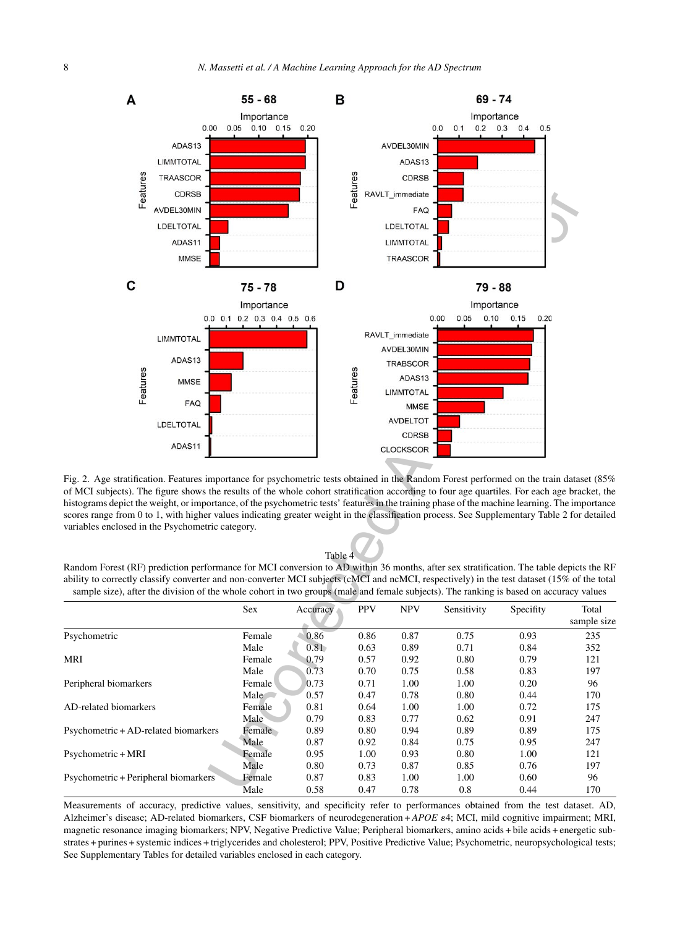

Fig. 2. Age stratification. Features importance for psychometric tests obtained in the Random Forest performed on the train dataset (85% of MCI subjects). The figure shows the results of the whole cohort stratification according to four age quartiles. For each age bracket, the histograms depict the weight, or importance, of the psychometric tests' features in the training phase of the machine learning. The importance scores range from 0 to 1, with higher values indicating greater weight in the classification process. See Supplementary Table 2 for detailed variables enclosed in the Psychometric category.

#### Table 4

Random Forest (RF) prediction performance for MCI conversion to AD within 36 months, after sex stratification. The table depicts the RF ability to correctly classify converter and non-converter MCI subjects (cMCI and ncMCI, respectively) in the test dataset (15% of the total sample size), after the division of the whole cohort in two groups (male and female subjects). The ranking is based on accuracy values

|                                      | <b>Sex</b> | Accuracy | <b>PPV</b> | <b>NPV</b> | Sensitivity | Specifity | Total<br>sample size |
|--------------------------------------|------------|----------|------------|------------|-------------|-----------|----------------------|
| Psychometric                         | Female     | 0.86     | 0.86       | 0.87       | 0.75        | 0.93      | 235                  |
|                                      | Male       | 0.81     | 0.63       | 0.89       | 0.71        | 0.84      | 352                  |
| MRI                                  | Female     | 0.79     | 0.57       | 0.92       | 0.80        | 0.79      | 121                  |
|                                      | Male       | 0.73     | 0.70       | 0.75       | 0.58        | 0.83      | 197                  |
| Peripheral biomarkers                | Female     | 0.73     | 0.71       | 1.00       | 1.00        | 0.20      | 96                   |
|                                      | Male       | 0.57     | 0.47       | 0.78       | 0.80        | 0.44      | 170                  |
| AD-related biomarkers                | Female     | 0.81     | 0.64       | 1.00       | 1.00        | 0.72      | 175                  |
|                                      | Male       | 0.79     | 0.83       | 0.77       | 0.62        | 0.91      | 247                  |
| Psychometric + AD-related biomarkers | Female     | 0.89     | 0.80       | 0.94       | 0.89        | 0.89      | 175                  |
|                                      | Male       | 0.87     | 0.92       | 0.84       | 0.75        | 0.95      | 247                  |
| Psychometric + MRI                   | Female     | 0.95     | 1.00       | 0.93       | 0.80        | 1.00      | 121                  |
|                                      | Male       | 0.80     | 0.73       | 0.87       | 0.85        | 0.76      | 197                  |
| Psychometric + Peripheral biomarkers | Female     | 0.87     | 0.83       | 1.00       | 1.00        | 0.60      | 96                   |
|                                      | Male       | 0.58     | 0.47       | 0.78       | 0.8         | 0.44      | 170                  |

Measurements of accuracy, predictive values, sensitivity, and specificity refer to performances obtained from the test dataset. AD, Alzheimer's disease; AD-related biomarkers, CSF biomarkers of neurodegeneration + *APOE* 4; MCI, mild cognitive impairment; MRI, magnetic resonance imaging biomarkers; NPV, Negative Predictive Value; Peripheral biomarkers, amino acids + bile acids + energetic substrates + purines + systemic indices + triglycerides and cholesterol; PPV, Positive Predictive Value; Psychometric, neuropsychological tests; See Supplementary Tables for detailed variables enclosed in each category.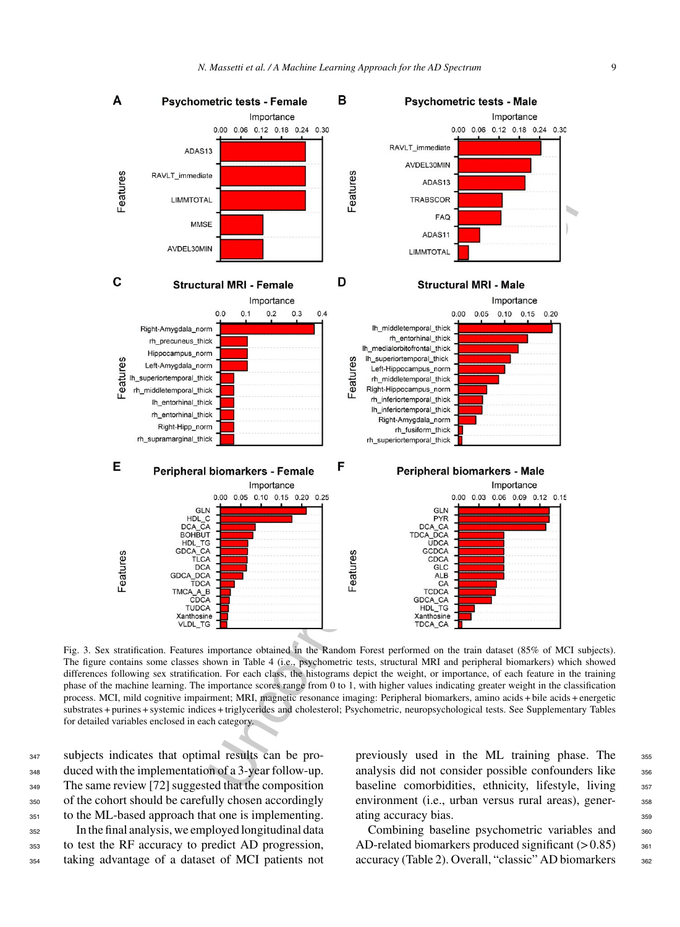

Fig. 3. Sex stratification. Features importance obtained in the Random Forest performed on the train dataset (85% of MCI subjects). The figure contains some classes shown in Table 4 (i.e., psychometric tests, structural MRI and peripheral biomarkers) which showed differences following sex stratification. For each class, the histograms depict the weight, or importance, of each feature in the training phase of the machine learning. The importance scores range from 0 to 1, with higher values indicating greater weight in the classification process. MCI, mild cognitive impairment; MRI, magnetic resonance imaging: Peripheral biomarkers, amino acids + bile acids + energetic substrates + purines + systemic indices + triglycerides and cholesterol; Psychometric, neuropsychological tests. See Supplementary Tables for detailed variables enclosed in each category.

 subjects indicates that optimal results can be pro- duced with the implementation of a 3-year follow-up. 349 The same review [72] suggested that the composition of the cohort should be carefully chosen accordingly to the ML-based approach that one is implementing.

<sup>352</sup> In the final analysis, we employed longitudinal data <sup>353</sup> to test the RF accuracy to predict AD progression, <sup>354</sup> taking advantage of a dataset of MCI patients not

previously used in the ML training phase. The 355 analysis did not consider possible confounders like  $356$ baseline comorbidities, ethnicity, lifestyle, living 357 environment (i.e., urban versus rural areas), gener-<br>sse ating accuracy bias. 359

Combining baseline psychometric variables and 360 AD-related biomarkers produced significant  $(> 0.85)$  361 accuracy (Table 2). Overall, "classic" AD biomarkers 362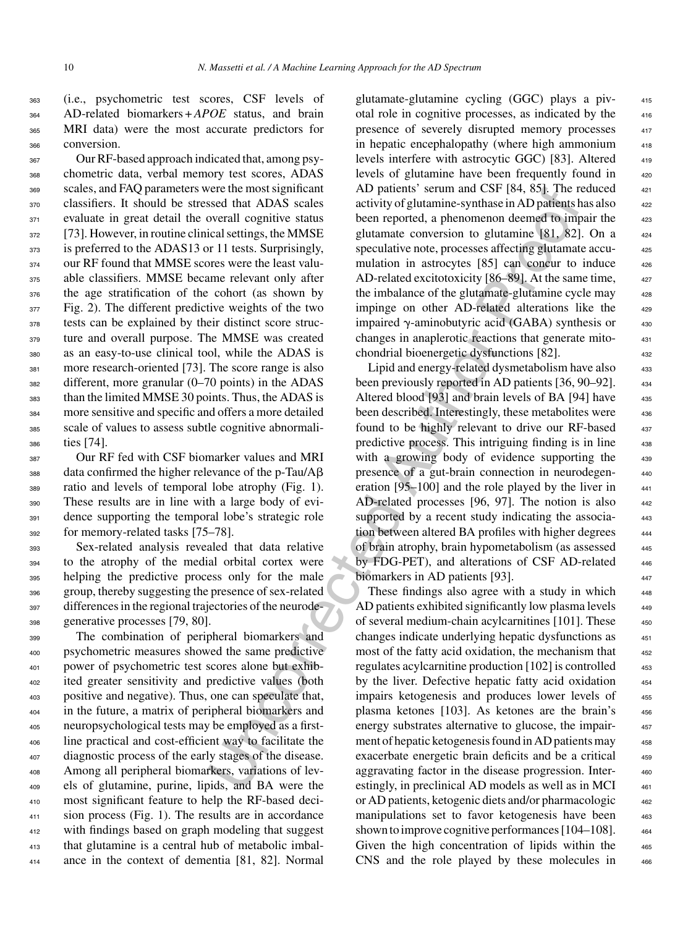(i.e., psychometric test scores, CSF levels of AD-related biomarkers + *APOE* status, and brain MRI data) were the most accurate predictors for conversion.

 Our RF-based approach indicated that, among psy- chometric data, verbal memory test scores, ADAS scales, and FAQ parameters were the most significant classifiers. It should be stressed that ADAS scales evaluate in great detail the overall cognitive status [73]. However, in routine clinical settings, the MMSE 373 is preferred to the ADAS13 or 11 tests. Surprisingly, 374 our RF found that MMSE scores were the least valu- able classifiers. MMSE became relevant only after the age stratification of the cohort (as shown by Fig. 2). The different predictive weights of the two tests can be explained by their distinct score struc- ture and overall purpose. The MMSE was created as an easy-to-use clinical tool, while the ADAS is more research-oriented [73]. The score range is also different, more granular (0–70 points) in the ADAS than the limited MMSE 30 points. Thus, the ADAS is more sensitive and specific and offers a more detailed scale of values to assess subtle cognitive abnormali-ties [74].

 Our RF fed with CSF biomarker values and MRI 388 data confirmed the higher relevance of the p-Tau/Aß ratio and levels of temporal lobe atrophy (Fig. 1). These results are in line with a large body of evi-391 dence supporting the temporal lobe's strategic role for memory-related tasks [75–78].

 Sex-related analysis revealed that data relative to the atrophy of the medial orbital cortex were helping the predictive process only for the male group, thereby suggesting the presence of sex-related differences in the regional trajectories of the neurode-generative processes [79, 80].

 The combination of peripheral biomarkers and psychometric measures showed the same predictive power of psychometric test scores alone but exhib- ited greater sensitivity and predictive values (both positive and negative). Thus, one can speculate that, in the future, a matrix of peripheral biomarkers and neuropsychological tests may be employed as a first- line practical and cost-efficient way to facilitate the diagnostic process of the early stages of the disease. Among all peripheral biomarkers, variations of lev- els of glutamine, purine, lipids, and BA were the most significant feature to help the RF-based deci- sion process (Fig. 1). The results are in accordance 412 with findings based on graph modeling that suggest that glutamine is a central hub of metabolic imbal-ance in the context of dementia [81, 82]. Normal

glutamate-glutamine cycling (GGC) plays a piv- <sup>415</sup> otal role in cognitive processes, as indicated by the <sup>416</sup> presence of severely disrupted memory processes in hepatic encephalopathy (where high ammonium levels interfere with astrocytic GGC) [83]. Altered 419 levels of glutamine have been frequently found in AD patients' serum and CSF  $[84, 85]$ . The reduced  $421$ activity of glutamine-synthase in AD patients has also  $_{422}$ been reported, a phenomenon deemed to impair the 423 glutamate conversion to glutamine  $[81, 82]$ . On a  $424$ speculative note, processes affecting glutamate accumulation in astrocytes  $[85]$  can concur to induce  $426$ AD-related excitotoxicity [86–89]. At the same time, the imbalance of the glutamate-glutamine cycle may impinge on other AD-related alterations like the impaired  $\gamma$ -aminobutyric acid (GABA) synthesis or  $430$ changes in anaplerotic reactions that generate mito- <sup>431</sup> chondrial bioenergetic dysfunctions [82]. <sup>432</sup>

rect the most signincant<br>and CM patients server the most CSH (84, 851). The reversion and CSH (84, 851), the reversion of each reported a phenomenon deemed by my overall cognitive status is located and particle and particl Lipid and energy-related dysmetabolism have also been previously reported in AD patients [36, 90–92]. Altered blood [93] and brain levels of BA [94] have been described. Interestingly, these metabolites were found to be highly relevant to drive our RF-based 437 predictive process. This intriguing finding is in line with a growing body of evidence supporting the 439 presence of a gut-brain connection in neurodegen- <sup>440</sup> eration  $[95-100]$  and the role played by the liver in  $441$ AD-related processes [96, 97]. The notion is also 442 supported by a recent study indicating the association between altered BA profiles with higher degrees of brain atrophy, brain hypometabolism (as assessed <sup>445</sup> by FDG-PET), and alterations of CSF AD-related 446 biomarkers in AD patients [93].

These findings also agree with a study in which 448 AD patients exhibited significantly low plasma levels of several medium-chain acylcarnitines [101]. These changes indicate underlying hepatic dysfunctions as <sup>451</sup> most of the fatty acid oxidation, the mechanism that regulates acylcarnitine production [102] is controlled by the liver. Defective hepatic fatty acid oxidation 454 impairs ketogenesis and produces lower levels of 455 plasma ketones [103]. As ketones are the brain's 456 energy substrates alternative to glucose, the impair-<br>457 ment of hepatic ketogenesis found in AD patients may exacerbate energetic brain deficits and be a critical 459 aggravating factor in the disease progression. Interestingly, in preclinical AD models as well as in MCI or AD patients, ketogenic diets and/or pharmacologic <sup>462</sup> manipulations set to favor ketogenesis have been 463 shown to improve cognitive performances  $[104-108]$ .  $464$ Given the high concentration of lipids within the 465 CNS and the role played by these molecules in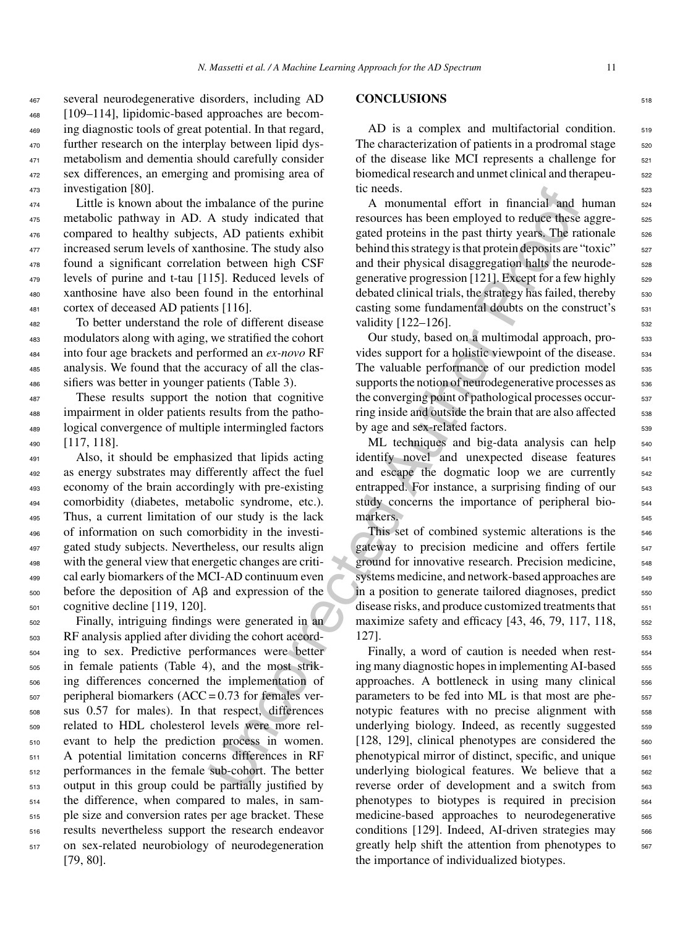several neurodegenerative disorders, including AD [109–114], lipidomic-based approaches are becom- ing diagnostic tools of great potential. In that regard, further research on the interplay between lipid dys- metabolism and dementia should carefully consider sex differences, an emerging and promising area of investigation [80].

 Little is known about the imbalance of the purine metabolic pathway in AD. A study indicated that compared to healthy subjects, AD patients exhibit increased serum levels of xanthosine. The study also found a significant correlation between high CSF levels of purine and t-tau [115]. Reduced levels of xanthosine have also been found in the entorhinal cortex of deceased AD patients [116].

 To better understand the role of different disease modulators along with aging, we stratified the cohort into four age brackets and performed an *ex-novo* RF analysis. We found that the accuracy of all the clas-sifiers was better in younger patients (Table 3).

 These results support the notion that cognitive impairment in older patients results from the patho- logical convergence of multiple intermingled factors [117, 118].

 Also, it should be emphasized that lipids acting as energy substrates may differently affect the fuel economy of the brain accordingly with pre-existing comorbidity (diabetes, metabolic syndrome, etc.). Thus, a current limitation of our study is the lack of information on such comorbidity in the investi- gated study subjects. Nevertheless, our results align with the general view that energetic changes are criti- cal early biomarkers of the MCI-AD continuum even before the deposition of A $\beta$  and expression of the cognitive decline [119, 120].

 Finally, intriguing findings were generated in an RF analysis applied after dividing the cohort accord- ing to sex. Predictive performances were better in female patients (Table 4), and the most strik- ing differences concerned the implementation of peripheral biomarkers (ACC = 0.73 for females ver- sus 0.57 for males). In that respect, differences related to HDL cholesterol levels were more rel- evant to help the prediction process in women. A potential limitation concerns differences in RF performances in the female sub-cohort. The better output in this group could be partially justified by the difference, when compared to males, in sam- ple size and conversion rates per age bracket. These results nevertheless support the research endeavor on sex-related neurobiology of neurodegeneration [79, 80].

## **CONCLUSIONS** <sup>518</sup>

 $AD$  is a complex and multifactorial condition.  $519$ The characterization of patients in a prodromal stage  $\frac{520}{20}$ of the disease like MCI represents a challenge for  $521$ biomedical research and unmet clinical and therapeutic needs.

A monumental effort in financial and human 524 resources has been employed to reduce these aggregated proteins in the past thirty years. The rationale  $526$ behind this strategy is that protein deposits are "toxic"  $\frac{1}{27}$ and their physical disaggregation halts the neurode-<br>s28 generative progression [121]. Except for a few highly  $_{529}$ debated clinical trials, the strategy has failed, thereby  $\frac{530}{530}$ casting some fundamental doubts on the construct's  $\frac{531}{531}$ validity  $[122-126]$ .

Our study, based on a multimodal approach, provides support for a holistic viewpoint of the disease.  $534$ The valuable performance of our prediction model  $\frac{1}{535}$ supports the notion of neurodegenerative processes as 536 the converging point of pathological processes occur-<br>537 ring inside and outside the brain that are also affected  $\frac{1}{536}$ by age and sex-related factors.

ML techniques and big-data analysis can help  $_{540}$ identify novel and unexpected disease features 541 and escape the dogmatic loop we are currently 542 entrapped. For instance, a surprising finding of our 543 study concerns the importance of peripheral biomarkers.

This set of combined systemic alterations is the 546 gateway to precision medicine and offers fertile 547 ground for innovative research. Precision medicine, <sub>548</sub> systems medicine, and network-based approaches are  $549$ in a position to generate tailored diagnoses, predict  $550$ disease risks, and produce customized treatments that  $_{551}$ maximize safety and efficacy  $[43, 46, 79, 117, 118,$   $552$  $127$ ].

mbalance of the purine<br>
increases his been denoted Authorical and<br>
A study indicates that resources has been employed to reduce these<br>
informing SS, AD patients exhibit resources has been employed to reduce the<br>
and the p Finally, a word of caution is needed when rest-<br>554 ing many diagnostic hopes in implementing AI-based  $555$ approaches. A bottleneck in using many clinical 556 parameters to be fed into ML is that most are phe-<br><sub>557</sub> notypic features with no precise alignment with 558 underlying biology. Indeed, as recently suggested 559 [128, 129], clinical phenotypes are considered the  $\frac{560}{250}$ phenotypical mirror of distinct, specific, and unique 561 underlying biological features. We believe that a 562 reverse order of development and a switch from 563 phenotypes to biotypes is required in precision 564 medicine-based approaches to neurodegenerative <sub>565</sub> conditions [129]. Indeed, AI-driven strategies may 566 greatly help shift the attention from phenotypes to  $567$ the importance of individualized biotypes.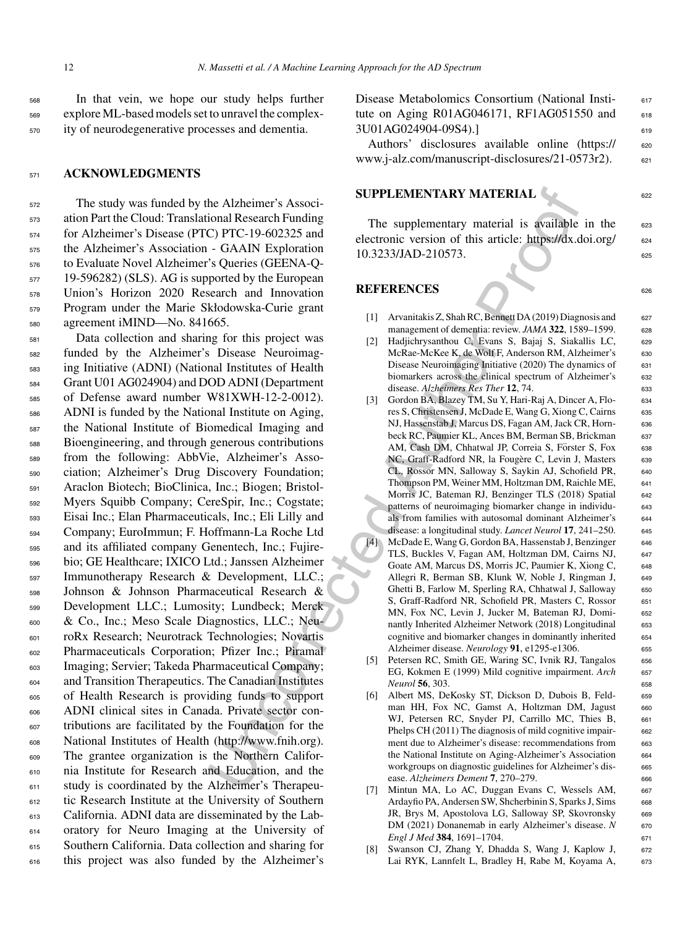<sup>568</sup> In that vein, we hope our study helps further <sup>569</sup> explore ML-based models set to unravel the complex-<sup>570</sup> ity of neurodegenerative processes and dementia.

### <sup>571</sup> **ACKNOWLEDGMENTS**

 The study was funded by the Alzheimer's Associ- ation Part the Cloud: Translational Research Funding for Alzheimer's Disease (PTC) PTC-19-602325 and the Alzheimer's Association - GAAIN Exploration to Evaluate Novel Alzheimer's Queries (GEENA-Q-<sup>577</sup> 19-596282) (SLS). AG is supported by the European Union's Horizon 2020 Research and Innovation Program under the Marie Skłodowska-Curie grant agreement iMIND—No. 841665.

**Example 18 Solution** SUPPLEMENTARY MATERIAL Spin and Research Funding The supplementary material is available<br>
C, PTC-19-602325 and<br>
C, PTC-19-602325 and<br>
C, PTC-19-602325 and<br>
electronic version of this article: https:/ Data collection and sharing for this project was funded by the Alzheimer's Disease Neuroimag- ing Initiative (ADNI) (National Institutes of Health Grant U01 AG024904) and DOD ADNI (Department of Defense award number W81XWH-12-2-0012). ADNI is funded by the National Institute on Aging, the National Institute of Biomedical Imaging and Bioengineering, and through generous contributions from the following: AbbVie, Alzheimer's Asso- ciation; Alzheimer's Drug Discovery Foundation; Araclon Biotech; BioClinica, Inc.; Biogen; Bristol- Myers Squibb Company; CereSpir, Inc.; Cogstate; Eisai Inc.; Elan Pharmaceuticals, Inc.; Eli Lilly and Company; EuroImmun; F. Hoffmann-La Roche Ltd and its affiliated company Genentech, Inc.; Fujire- bio; GE Healthcare; IXICO Ltd.; Janssen Alzheimer Immunotherapy Research & Development, LLC.; Johnson & Johnson Pharmaceutical Research & Development LLC.; Lumosity; Lundbeck; Merck & Co., Inc.; Meso Scale Diagnostics, LLC.; Neu- roRx Research; Neurotrack Technologies; Novartis Pharmaceuticals Corporation; Pfizer Inc.; Piramal Imaging; Servier; Takeda Pharmaceutical Company; and Transition Therapeutics. The Canadian Institutes of Health Research is providing funds to support ADNI clinical sites in Canada. Private sector con- tributions are facilitated by the Foundation for the National Institutes of Health (http://www.fnih.org). The grantee organization is the Northern Califor- nia Institute for Research and Education, and the study is coordinated by the Alzheimer's Therapeu- tic Research Institute at the University of Southern California. ADNI data are disseminated by the Lab- oratory for Neuro Imaging at the University of Southern California. Data collection and sharing for this project was also funded by the Alzheimer's

Disease Metabolomics Consortium (National Insti- 617 tute on Aging R01AG046171, RF1AG051550 and  $618$ 3U01AG024904-09S4).] 619

Authors' disclosures available online [\(https://](https://www.j-alz.com/manuscript-disclosures/21-0573r2) 620 www.j-alz.com/manuscript-disclosures/21-0573r2). 621

#### **SUPPLEMENTARY MATERIAL**  $\begin{bmatrix} 0 & 0 \\ 0 & 0 \end{bmatrix}$

The supplementary material is available in the  $623$ electronic version of this article: [https://dx.doi.org/](https://dx.doi.org/10.3233/JAD-210573) 624 10.3233/JAD-210573. 625

**REFERENCES** 626

- [1] Arvanitakis Z, Shah RC, Bennett DA (2019) Diagnosis and 627 management of dementia: review. *JAMA* 322, 1589–1599. 628
- [2] Hadjichrysanthou C, Evans S, Bajaj S, Siakallis LC, <sup>629</sup> McRae-McKee K, de Wolf F, Anderson RM, Alzheimer's 630 Disease Neuroimaging Initiative (2020) The dynamics of 631 biomarkers across the clinical spectrum of Alzheimer's 632 disease. *Alzheimers Res Ther* **12**, 74. 633
- [3] Gordon BA, Blazey TM, Su Y, Hari-Raj A, Dincer A, Flo- <sup>634</sup> res S, Christensen J, McDade E, Wang G, Xiong C, Cairns 635 NJ, Hassenstab J, Marcus DS, Fagan AM, Jack CR, Horn- <sup>636</sup> beck RC, Paumier KL, Ances BM, Berman SB, Brickman 637 AM, Cash DM, Chhatwal JP, Correia S, Förster S, Fox 638 NC, Graff-Radford NR, la Fougère C, Levin J, Masters 639 CL, Rossor MN, Salloway S, Saykin AJ, Schofield PR, 640 Thompson PM, Weiner MM, Holtzman DM, Raichle ME, 641 Morris JC, Bateman RJ, Benzinger TLS (2018) Spatial 642 patterns of neuroimaging biomarker change in individu- <sup>643</sup> als from families with autosomal dominant Alzheimer's 644 disease: a longitudinal study. *Lancet Neurol* **17**, 241–250. <sup>645</sup>
- [4] McDade E, Wang G, Gordon BA, Hassenstab J, Benzinger 646 TLS, Buckles V, Fagan AM, Holtzman DM, Cairns NJ, 647 Goate AM, Marcus DS, Morris JC, Paumier K, Xiong C, 648 Allegri R, Berman SB, Klunk W, Noble J, Ringman J, 649 Ghetti B, Farlow M, Sperling RA, Chhatwal J, Salloway 650 S, Graff-Radford NR, Schofield PR, Masters C, Rossor 651 MN, Fox NC, Levin J, Jucker M, Bateman RJ, Domi- <sup>652</sup> nantly Inherited Alzheimer Network (2018) Longitudinal 653 cognitive and biomarker changes in dominantly inherited <sup>654</sup> Alzheimer disease. *Neurology* **91**, e1295-e1306. <sup>655</sup>
- [5] Petersen RC, Smith GE, Waring SC, Ivnik RJ, Tangalos 656 EG, Kokmen E (1999) Mild cognitive impairment. *Arch* 657 *Neurol* **56**, 303. <sup>658</sup>
- [6] Albert MS, DeKosky ST, Dickson D, Dubois B, Feld- 659 man HH, Fox NC, Gamst A, Holtzman DM, Jagust 660 WJ, Petersen RC, Snyder PJ, Carrillo MC, Thies B, 661 Phelps CH (2011) The diagnosis of mild cognitive impair-<br>662 ment due to Alzheimer's disease: recommendations from 663 the National Institute on Aging-Alzheimer's Association 664 workgroups on diagnostic guidelines for Alzheimer's disease. *Alzheimers Dement* **7**, 270–279. <sup>666</sup>
- [7] Mintun MA, Lo AC, Duggan Evans C, Wessels AM, 667 Ardayfio PA, Andersen SW, Shcherbinin S, Sparks J, Sims 668 JR, Brys M, Apostolova LG, Salloway SP, Skovronsky 669 DM (2021) Donanemab in early Alzheimer's disease. *N* 670 *Engl J Med* 384, 1691–1704. 671
- Swanson CJ, Zhang Y, Dhadda S, Wang J, Kaplow J, 672 Lai RYK, Lannfelt L, Bradley H, Rabe M, Koyama A, 673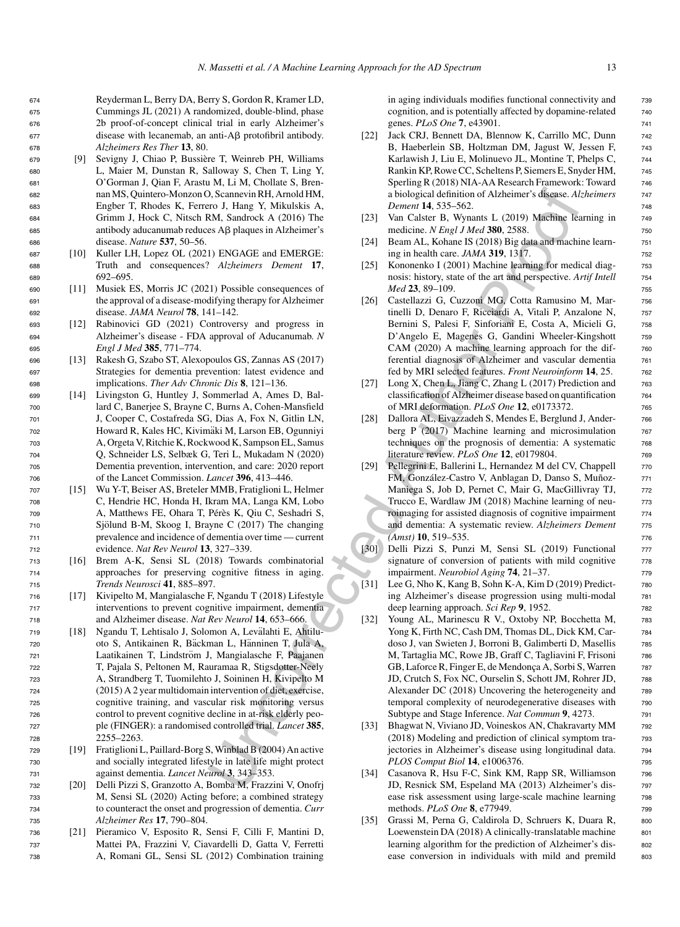- <sup>679</sup> [9] Sevigny J, Chiao P, Bussiere T, Weinreb PH, Williams ` <sup>680</sup> L, Maier M, Dunstan R, Salloway S, Chen T, Ling Y, <sup>681</sup> O'Gorman J, Qian F, Arastu M, Li M, Chollate S, Bren-<sup>682</sup> nan MS, Quintero-Monzon O, Scannevin RH, Arnold HM, <sup>683</sup> Engber T, Rhodes K, Ferrero J, Hang Y, Mikulskis A, <sup>684</sup> Grimm J, Hock C, Nitsch RM, Sandrock A (2016) The 685 antibody aducanumab reduces Aβ plaques in Alzheimer's <sup>686</sup> disease. *Nature* **537**, 50–56.
- <sup>687</sup> [10] Kuller LH, Lopez OL (2021) ENGAGE and EMERGE: <sup>688</sup> Truth and consequences? *Alzheimers Dement* **17**, <sup>689</sup> 692–695.
- <sup>690</sup> [11] Musiek ES, Morris JC (2021) Possible consequences of <sup>691</sup> the approval of a disease-modifying therapy for Alzheimer <sup>692</sup> disease. *JAMA Neurol* **78**, 141–142.
- <sup>693</sup> [12] Rabinovici GD (2021) Controversy and progress in <sup>694</sup> Alzheimer's disease - FDA approval of Aducanumab. *N* <sup>695</sup> *Engl J Med* **385**, 771–774.
- <sup>696</sup> [13] Rakesh G, Szabo ST, Alexopoulos GS, Zannas AS (2017) <sup>697</sup> Strategies for dementia prevention: latest evidence and <sup>698</sup> implications. *Ther Adv Chronic Dis* **8**, 121–136.
- <sup>699</sup> [14] Livingston G, Huntley J, Sommerlad A, Ames D, Bal-<sup>700</sup> lard C, Banerjee S, Brayne C, Burns A, Cohen-Mansfield <sup>701</sup> J, Cooper C, Costafreda SG, Dias A, Fox N, Gitlin LN, <sup>702</sup> Howard R, Kales HC, Kivimaki M, Larson EB, Ogunniyi ¨ <sup>703</sup> A, Orgeta V, Ritchie K, Rockwood K, Sampson EL, Samus <sup>704</sup> Q, Schneider LS, Selbæk G, Teri L, Mukadam N (2020) <sup>705</sup> Dementia prevention, intervention, and care: 2020 report <sup>706</sup> of the Lancet Commission. *Lancet* **396**, 413–446.
- <sup>707</sup> [15] Wu Y-T, Beiser AS, Breteler MMB, Fratiglioni L, Helmer <sup>708</sup> C, Hendrie HC, Honda H, Ikram MA, Langa KM, Lobo 709 A, Matthews FE, Ohara T, Pérès K, Qiu C, Seshadri S,  $710$  Sjölund B-M, Skoog I, Brayne C (2017) The changing <sup>711</sup> prevalence and incidence of dementia over time — current <sup>712</sup> evidence. *Nat Rev Neurol* **13**, 327–339.
- <sup>713</sup> [16] Brem A-K, Sensi SL (2018) Towards combinatorial <sup>714</sup> approaches for preserving cognitive fitness in aging. <sup>715</sup> *Trends Neurosci* **41**, 885–897.
- <sup>716</sup> [17] Kivipelto M, Mangialasche F, Ngandu T (2018) Lifestyle <sup>717</sup> interventions to prevent cognitive impairment, dementia <sup>718</sup> and Alzheimer disease. *Nat Rev Neurol* **14**, 653–666.
- <sup>719</sup> [18] Ngandu T, Lehtisalo J, Solomon A, Levalahti E, Ahtilu- ¨ 720 oto S, Antikainen R, Bäckman L, Hänninen T, Jula A, 721 Laatikainen T, Lindström J, Mangialasche F, Paajanen <sup>722</sup> T, Pajala S, Peltonen M, Rauramaa R, Stigsdotter-Neely <sup>723</sup> A, Strandberg T, Tuomilehto J, Soininen H, Kivipelto M <sup>724</sup> (2015) A 2 year multidomain intervention of diet, exercise, <sup>725</sup> cognitive training, and vascular risk monitoring versus <sup>726</sup> control to prevent cognitive decline in at-risk elderly peo-<sup>727</sup> ple (FINGER): a randomised controlled trial. *Lancet* **385**, <sup>728</sup> 2255–2263.
- <sup>729</sup> [19] Fratiglioni L, Paillard-Borg S, Winblad B (2004) An active <sup>730</sup> and socially integrated lifestyle in late life might protect <sup>731</sup> against dementia. *Lancet Neurol* **3**, 343–353.
- <sup>732</sup> [20] Delli Pizzi S, Granzotto A, Bomba M, Frazzini V, Onofrj <sup>733</sup> M, Sensi SL (2020) Acting before; a combined strategy <sup>734</sup> to counteract the onset and progression of dementia. *Curr* <sup>735</sup> *Alzheimer Res* **17**, 790–804.
- <sup>736</sup> [21] Pieramico V, Esposito R, Sensi F, Cilli F, Mantini D, <sup>737</sup> Mattei PA, Frazzini V, Ciavardelli D, Gatta V, Ferretti <sup>738</sup> A, Romani GL, Sensi SL (2012) Combination training

in aging individuals modifies functional connectivity and  $\frac{739}{2}$ cognition, and is potentially affected by dopamine-related 740 genes. *PLoS One* **7**, e43901. <sup>741</sup>

- [22] Jack CRJ, Bennett DA, Blennow K, Carrillo MC, Dunn 742 B, Haeberlein SB, Holtzman DM, Jagust W, Jessen F, 743 Karlawish J, Liu E, Molinuevo JL, Montine T, Phelps C,  $\frac{744}{2}$ Rankin KP, Rowe CC, Scheltens P, Siemers E, Snyder HM, <sup>745</sup> Sperling R (2018) NIA-AA Research Framework: Toward 746 a biological definition of Alzheimer's disease. *Alzheimers* <sup>747</sup> *Dement* **14**, 535–562. <sup>748</sup>
- [23] Van Calster B, Wynants L (2019) Machine learning in 749 medicine. *N Engl J Med* 380, 2588. 750
- [24] Beam AL, Kohane IS (2018) Big data and machine learn- 751 ing in health care. *JAMA* **319**, 1317. <sup>752</sup>
- [25] Kononenko I (2001) Machine learning for medical diag- 753 nosis: history, state of the art and perspective. *Artif Intell* <sup>754</sup> *Med* **23**, 89–109. <sup>755</sup>
- [26] Castellazzi G, Cuzzoni MG, Cotta Ramusino M, Mar- <sup>756</sup> tinelli D, Denaro F, Ricciardi A, Vitali P, Anzalone N, 757 Bernini S, Palesi F, Sinforiani E, Costa A, Micieli G, 758 D'Angelo E, Magenes G, Gandini Wheeler-Kingshott 759 CAM (2020) A machine learning approach for the differential diagnosis of Alzheimer and vascular dementia <sup>761</sup> fed by MRI selected features. *Front Neuroinform* **14**, 25. <sup>762</sup>
- [27] Long X, Chen L, Jiang C, Zhang L (2017) Prediction and 763 classification of Alzheimer disease based on quantification 764 of MRI deformation. *PLoS One* **12**, e0173372. <sup>765</sup>
- [28] Dallora AL, Eivazzadeh S, Mendes E, Berglund J, Ander- 766 berg P (2017) Machine learning and microsimulation 767 techniques on the prognosis of dementia: A systematic 768 literature review. *PLoS One* **12**, e0179804. <sup>769</sup>
- [29] Pellegrini E, Ballerini L, Hernandez M del CV, Chappell  $\qquad \qquad$  770 FM, González-Castro V, Anblagan D, Danso S, Muñoz- 771 Maniega S, Job D, Pernet C, Mair G, MacGillivray TJ, 772 Trucco E, Wardlaw JM (2018) Machine learning of neu-<br>  $773$ roimaging for assisted diagnosis of cognitive impairment  $\frac{774}{2}$ and dementia: A systematic review. *Alzheimers Dement* 775 *(Amst)* **10**, 519–535. <sup>776</sup>
- [30] Delli Pizzi S, Punzi M, Sensi SL (2019) Functional <sup>777</sup> signature of conversion of patients with mild cognitive 778 impairment. *Neurobiol Aging* **74**, 21–37.
- [31] Lee G, Nho K, Kang B, Sohn K-A, Kim D (2019) Predict- 780 ing Alzheimer's disease progression using multi-modal <sup>781</sup> deep learning approach. *Sci Rep* 9, 1952.
- Continential Randolf Histophony (18) (and the state and the state and the state and the state and the state and the state and the state and the state and the state and the state and the state and the state and the state a [32] Young AL, Marinescu R V., Oxtoby NP, Bocchetta M, 783 Yong K, Firth NC, Cash DM, Thomas DL, Dick KM, Cardoso J, van Swieten J, Borroni B, Galimberti D, Masellis 785 M, Tartaglia MC, Rowe JB, Graff C, Tagliavini F, Frisoni 786 GB, Laforce R, Finger E, de Mendonça A, Sorbi S, Warren 787 JD, Crutch S, Fox NC, Ourselin S, Schott JM, Rohrer JD, 788 Alexander DC (2018) Uncovering the heterogeneity and 789 temporal complexity of neurodegenerative diseases with 790 Subtype and Stage Inference. *Nat Commun* 9, 4273.
	- [33] Bhagwat N, Viviano JD, Voineskos AN, Chakravarty MM 792 (2018) Modeling and prediction of clinical symptom tra- <sup>793</sup> jectories in Alzheimer's disease using longitudinal data. 794 *PLOS Comput Biol* **14**, e1006376. <sup>795</sup>
	- [34] Casanova R, Hsu F-C, Sink KM, Rapp SR, Williamson 796 JD, Resnick SM, Espeland MA (2013) Alzheimer's dis- <sup>797</sup> ease risk assessment using large-scale machine learning 798 methods. *PLoS One* **8**, e77949. <sup>799</sup>
	- [35] Grassi M, Perna G, Caldirola D, Schruers K, Duara R, 800 Loewenstein DA (2018) A clinically-translatable machine 801 learning algorithm for the prediction of Alzheimer's disease conversion in individuals with mild and premild 803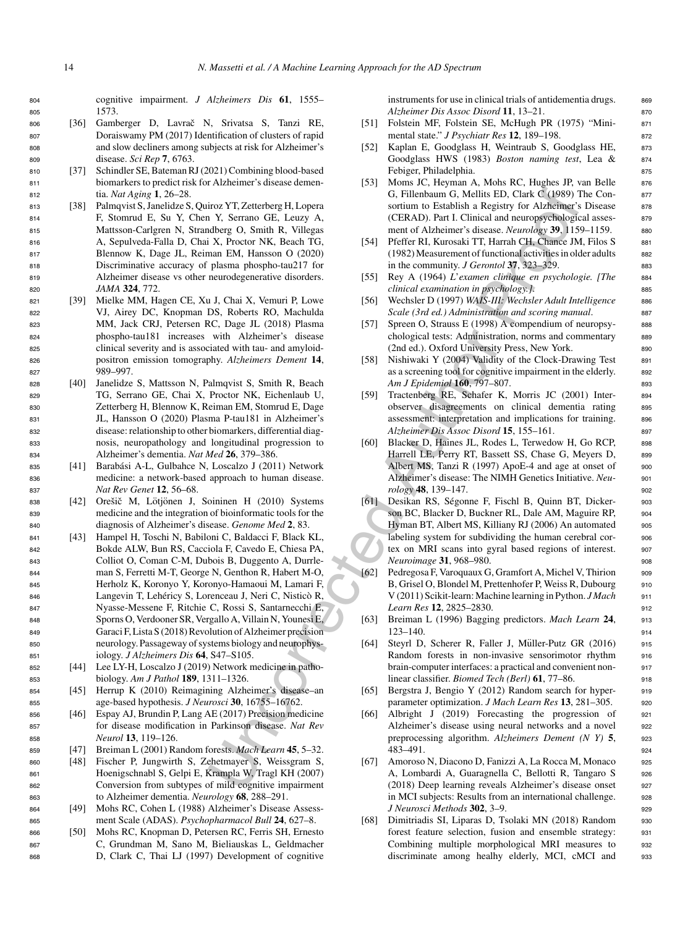<sup>804</sup> cognitive impairment. *J Alzheimers Dis* **61**, 1555– <sup>805</sup> 1573.

- 806 [36] Gamberger D, Lavrač N, Srivatsa S, Tanzi RE, <sup>807</sup> Doraiswamy PM (2017) Identification of clusters of rapid and slow decliners among subjects at risk for Alzheimer's <sup>809</sup> disease. *Sci Rep* **7**, 6763.
- <sup>810</sup> [37] Schindler SE, Bateman RJ (2021) Combining blood-based <sup>811</sup> biomarkers to predict risk for Alzheimer's disease demen-<sup>812</sup> tia. *Nat Aging* **1**, 26–28.
- <sup>813</sup> [38] Palmqvist S, Janelidze S, Quiroz YT, Zetterberg H, Lopera <sup>814</sup> F, Stomrud E, Su Y, Chen Y, Serrano GE, Leuzy A, <sup>815</sup> Mattsson-Carlgren N, Strandberg O, Smith R, Villegas <sup>816</sup> A, Sepulveda-Falla D, Chai X, Proctor NK, Beach TG, <sup>817</sup> Blennow K, Dage JL, Reiman EM, Hansson O (2020) <sup>818</sup> Discriminative accuracy of plasma phospho-tau217 for <sup>819</sup> Alzheimer disease vs other neurodegenerative disorders. <sup>820</sup> *JAMA* **324**, 772.
- <sup>821</sup> [39] Mielke MM, Hagen CE, Xu J, Chai X, Vemuri P, Lowe <sup>822</sup> VJ, Airey DC, Knopman DS, Roberts RO, Machulda <sup>823</sup> MM, Jack CRJ, Petersen RC, Dage JL (2018) Plasma <sup>824</sup> phospho-tau181 increases with Alzheimer's disease <sup>825</sup> clinical severity and is associated with tau- and amyloid-<sup>826</sup> positron emission tomography. *Alzheimers Dement* **14**, 827 989-997
- <sup>828</sup> [40] Janelidze S, Mattsson N, Palmqvist S, Smith R, Beach <sup>829</sup> TG, Serrano GE, Chai X, Proctor NK, Eichenlaub U, <sup>830</sup> Zetterberg H, Blennow K, Reiman EM, Stomrud E, Dage <sup>831</sup> JL, Hansson O (2020) Plasma P-tau181 in Alzheimer's <sup>832</sup> disease: relationship to other biomarkers, differential diag-<sup>833</sup> nosis, neuropathology and longitudinal progression to <sup>834</sup> Alzheimer's dementia. *Nat Med* **26**, 379–386.
- 835 [41] Barabási A-L, Gulbahce N, Loscalzo J (2011) Network <sup>836</sup> medicine: a network-based approach to human disease. <sup>837</sup> *Nat Rev Genet* **12**, 56–68.
- 838 [42] Orešič M, Lötjönen J, Soininen H (2010) Systems <sup>839</sup> medicine and the integration of bioinformatic tools for the <sup>840</sup> diagnosis of Alzheimer's disease. *Genome Med* **2**, 83.
- iro YT, Zenteherg H, Lopen<br>
16. Tilehokum (S. Melion Elio. China) (S. Melion Elio. China) N, Care Moham (C. Heather N, Koreaco China) N, Theoret R, Lopen N, Dente China) (1932) Neural China (China (S. Melion Authoritics) <sup>841</sup> [43] Hampel H, Toschi N, Babiloni C, Baldacci F, Black KL, <sup>842</sup> Bokde ALW, Bun RS, Cacciola F, Cavedo E, Chiesa PA, <sup>843</sup> Colliot O, Coman C-M, Dubois B, Duggento A, Durrle-<sup>844</sup> man S, Ferretti M-T, George N, Genthon R, Habert M-O, <sup>845</sup> Herholz K, Koronyo Y, Koronyo-Hamaoui M, Lamari F, 846 Langevin T, Lehéricy S, Lorenceau J, Neri C, Nisticò R, <sup>847</sup> Nyasse-Messene F, Ritchie C, Rossi S, Santarnecchi E, <sup>848</sup> Sporns O, Verdooner SR, Vergallo A, Villain N, Younesi E, <sup>849</sup> Garaci F, Lista S (2018) Revolution of Alzheimer precision <sup>850</sup> neurology. Passageway of systems biology and neurophys-<sup>851</sup> iology. *J Alzheimers Dis* **64**, S47–S105.
- <sup>852</sup> [44] Lee LY-H, Loscalzo J (2019) Network medicine in patho-<sup>853</sup> biology. *Am J Pathol* **189**, 1311–1326.
- <sup>854</sup> [45] Herrup K (2010) Reimagining Alzheimer's disease–an <sup>855</sup> age-based hypothesis. *J Neurosci* **30**, 16755–16762.
- <sup>856</sup> [46] Espay AJ, Brundin P, Lang AE (2017) Precision medicine <sup>857</sup> for disease modification in Parkinson disease. *Nat Rev* <sup>858</sup> *Neurol* **13**, 119–126.
- <sup>859</sup> [47] Breiman L (2001) Random forests. *Mach Learn* **45**, 5–32.
- <sup>860</sup> [48] Fischer P, Jungwirth S, Zehetmayer S, Weissgram S, <sup>861</sup> Hoenigschnabl S, Gelpi E, Krampla W, Tragl KH (2007) <sup>862</sup> Conversion from subtypes of mild cognitive impairment <sup>863</sup> to Alzheimer dementia. *Neurology* **68**, 288–291.
- <sup>864</sup> [49] Mohs RC, Cohen L (1988) Alzheimer's Disease Assess-<sup>865</sup> ment Scale (ADAS). *Psychopharmacol Bull* **24**, 627–8.
- <sup>866</sup> [50] Mohs RC, Knopman D, Petersen RC, Ferris SH, Ernesto <sup>867</sup> C, Grundman M, Sano M, Bieliauskas L, Geldmacher <sup>868</sup> D, Clark C, Thai LJ (1997) Development of cognitive

instruments for use in clinical trials of antidementia drugs. 869 *Alzheimer Dis Assoc Disord* **11**, 13–21. <sup>870</sup>

- [51] Folstein MF, Folstein SE, McHugh PR (1975) "Mini- <sup>871</sup> mental state." *J Psychiatr Res* **12**, 189–198. <sup>872</sup>
- [52] Kaplan E, Goodglass H, Weintraub S, Goodglass HE, 873 Goodglass HWS (1983) *Boston naming test*, Lea & 874 Febiger, Philadelphia. 875
- [53] Moms JC, Heyman A, Mohs RC, Hughes JP, van Belle 876 G, Fillenbaum G, Mellits ED, Clark C (1989) The Con- <sup>877</sup> sortium to Establish a Registry for Alzheimer's Disease 878 (CERAD). Part I. Clinical and neuropsychological asses-<br>879 ment of Alzheimer's disease. *Neurology* 39, 1159–1159. 880
- [54] Pfeffer RI, Kurosaki TT, Harrah CH, Chance JM, Filos S 881 (1982) Measurement of functional activities in older adults <sup>882</sup> in the community. *J Gerontol* **37**, 323–329. <sup>883</sup>
- [55] Rey A (1964) *L*'*examen clinique en psychologie. [The* <sup>884</sup> *clinical examination in psychology.]*. <sup>885</sup>
- [56] Wechsler D (1997) *WAIS-III: Wechsler Adult Intelligence* 886 *Scale (3rd ed.) Administration and scoring manual*. <sup>887</sup>
- [57] Spreen O, Strauss E (1998) A compendium of neuropsy- 888 chological tests: Administration, norms and commentary 889 (2nd ed.). Oxford University Press, New York. 890
- [58] Nishiwaki Y (2004) Validity of the Clock-Drawing Test 891 as a screening tool for cognitive impairment in the elderly. 892 *Am J Epidemiol* **160**, 797–807. <sup>893</sup>
- [59] Tractenberg RE, Schafer K, Morris JC (2001) Inter-<br>894 observer disagreements on clinical dementia rating 895 assessment: interpretation and implications for training. 896 *Alzheimer Dis Assoc Disord* **15**, 155–161. <sup>897</sup>
- [60] Blacker D, Haines JL, Rodes L, Terwedow H, Go RCP, 898 Harrell LE, Perry RT, Bassett SS, Chase G, Meyers D, 899 Albert MS, Tanzi R  $(1997)$  ApoE-4 and age at onset of  $900$ Alzheimer's disease: The NIMH Genetics Initiative. Neu-<br>901 *rology* **48**, 139–147. <sup>902</sup>
- [61] Desikan RS, Ségonne F, Fischl B, Quinn BT, Dicker- 903 son BC, Blacker D, Buckner RL, Dale AM, Maguire RP, 904 Hyman BT, Albert MS, Killiany RJ (2006) An automated 905 labeling system for subdividing the human cerebral cor- 906 tex on MRI scans into gyral based regions of interest. 907 *Neuroimage* **31**, 968–980. 908
- [62] Pedregosa F, Varoquaux G, Gramfort A, Michel V, Thirion 909 B, Grisel O, Blondel M, Prettenhofer P, Weiss R, Dubourg 910 V (2011) Scikit-learn: Machine learning in Python. *J Mach* <sup>911</sup> *Learn Res* **12**, 2825–2830. <sup>912</sup>
- [63] Breiman L (1996) Bagging predictors. *Mach Learn* **24**, <sup>913</sup> 123–140. 914
- [64] Steyrl D, Scherer R, Faller J, Müller-Putz GR (2016) 915 Random forests in non-invasive sensorimotor rhythm 916 brain-computer interfaces: a practical and convenient non- <sup>917</sup> linear classifier. *Biomed Tech (Berl)* **61**, 77–86. <sup>918</sup>
- [65] Bergstra J, Bengio Y (2012) Random search for hyper-<br>919 parameter optimization. *J Mach Learn Res* 13, 281-305. 920
- [66] Albright J (2019) Forecasting the progression of 921 Alzheimer's disease using neural networks and a novel 922 preprocessing algorithm. *Alzheimers Dement (N Y)* **5**, <sup>923</sup> 483–491. <sup>924</sup>
- [67] Amoroso N, Diacono D, Fanizzi A, La Rocca M, Monaco <sup>925</sup> A, Lombardi A, Guaragnella C, Bellotti R, Tangaro S 926 (2018) Deep learning reveals Alzheimer's disease onset <sup>927</sup> in MCI subjects: Results from an international challenge. 928 *J* Neurosci Methods **302**, 3–9.
- [68] Dimitriadis SI, Liparas D, Tsolaki MN (2018) Random 930 forest feature selection, fusion and ensemble strategy: <sup>931</sup> Combining multiple morphological MRI measures to 932 discriminate among healhy elderly, MCI, cMCI and 933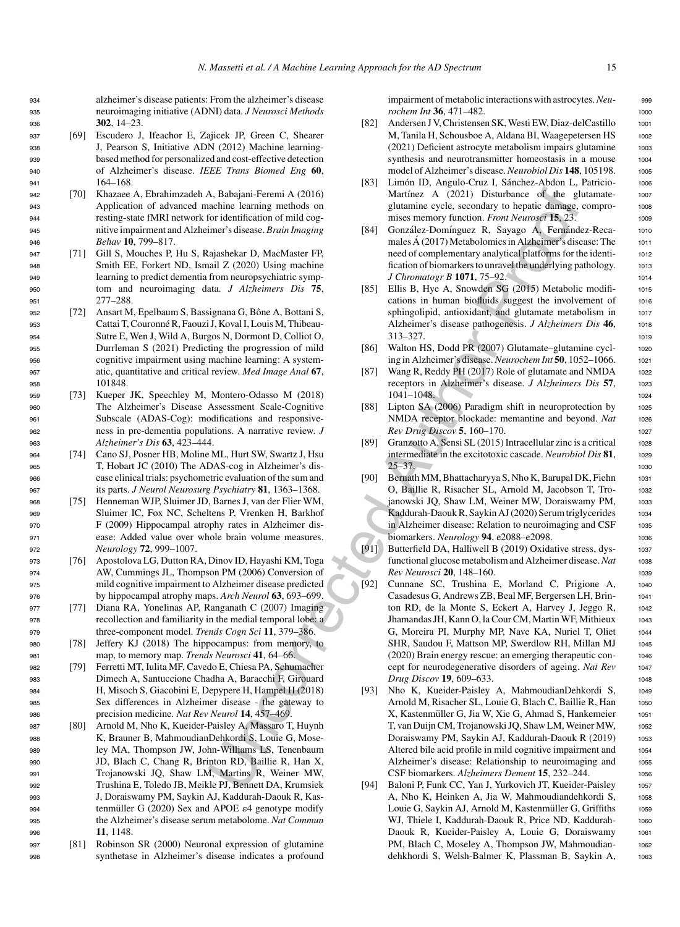- <sup>937</sup> [69] Escudero J, Ifeachor E, Zajicek JP, Green C, Shearer <sup>938</sup> J, Pearson S, Initiative ADN (2012) Machine learning-<sup>939</sup> based method for personalized and cost-effective detection <sup>940</sup> of Alzheimer's disease. *IEEE Trans Biomed Eng* **60**, <sup>941</sup> 164–168.
- <sup>942</sup> [70] Khazaee A, Ebrahimzadeh A, Babajani-Feremi A (2016) <sup>943</sup> Application of advanced machine learning methods on <sup>944</sup> resting-state fMRI network for identification of mild cog-<sup>945</sup> nitive impairment and Alzheimer's disease. *Brain Imaging* <sup>946</sup> *Behav* **10**, 799–817.
- <sup>947</sup> [71] Gill S, Mouches P, Hu S, Rajashekar D, MacMaster FP, <sup>948</sup> Smith EE, Forkert ND, Ismail Z (2020) Using machine <sup>949</sup> learning to predict dementia from neuropsychiatric symp-<sup>950</sup> tom and neuroimaging data. *J Alzheimers Dis* **75**, <sup>951</sup> 277–288.
- 952 [72] Ansart M, Epelbaum S, Bassignana G, Bône A, Bottani S, <sup>953</sup> Cattai T, Couronne R, Faouzi J, Koval I, Louis M, Thibeau- ´ <sup>954</sup> Sutre E, Wen J, Wild A, Burgos N, Dormont D, Colliot O, <sup>955</sup> Durrleman S (2021) Predicting the progression of mild <sup>956</sup> cognitive impairment using machine learning: A system-<sup>957</sup> atic, quantitative and critical review. *Med Image Anal* **67**, 958 101848
- <sup>959</sup> [73] Kueper JK, Speechley M, Montero-Odasso M (2018) <sup>960</sup> The Alzheimer's Disease Assessment Scale-Cognitive <sup>961</sup> Subscale (ADAS-Cog): modifications and responsive-<sup>962</sup> ness in pre-dementia populations. A narrative review. *J* <sup>963</sup> *Alzheimer's Dis* **63**, 423–444.
- <sup>964</sup> [74] Cano SJ, Posner HB, Moline ML, Hurt SW, Swartz J, Hsu <sup>965</sup> T, Hobart JC (2010) The ADAS-cog in Alzheimer's dis-<sup>966</sup> ease clinical trials: psychometric evaluation of the sum and <sup>967</sup> its parts. *J Neurol Neurosurg Psychiatry* **81**, 1363–1368.
- <sup>968</sup> [75] Henneman WJP, Sluimer JD, Barnes J, van der Flier WM, <sup>969</sup> Sluimer IC, Fox NC, Scheltens P, Vrenken H, Barkhof <sup>970</sup> F (2009) Hippocampal atrophy rates in Alzheimer dis-<sup>971</sup> ease: Added value over whole brain volume measures. <sup>972</sup> *Neurology* **72**, 999–1007.
- <sup>973</sup> [76] Apostolova LG, Dutton RA, Dinov ID, Hayashi KM, Toga <sup>974</sup> AW, Cummings JL, Thompson PM (2006) Conversion of <sup>975</sup> mild cognitive impairment to Alzheimer disease predicted <sup>976</sup> by hippocampal atrophy maps. *Arch Neurol* **63**, 693–699.
- <sup>977</sup> [77] Diana RA, Yonelinas AP, Ranganath C (2007) Imaging <sup>978</sup> recollection and familiarity in the medial temporal lobe: a <sup>979</sup> three-component model. *Trends Cogn Sci* **11**, 379–386.
- <sup>980</sup> [78] Jeffery KJ (2018) The hippocampus: from memory, to <sup>981</sup> map, to memory map. *Trends Neurosci* **41**, 64–66.
- <sup>982</sup> [79] Ferretti MT, Iulita MF, Cavedo E, Chiesa PA, Schumacher <sup>983</sup> Dimech A, Santuccione Chadha A, Baracchi F, Girouard <sup>984</sup> H, Misoch S, Giacobini E, Depypere H, Hampel H (2018) <sup>985</sup> Sex differences in Alzheimer disease - the gateway to <sup>986</sup> precision medicine. *Nat Rev Neurol* **14**, 457–469.
- <sup>987</sup> [80] Arnold M, Nho K, Kueider-Paisley A, Massaro T, Huynh <sup>988</sup> K, Brauner B, MahmoudianDehkordi S, Louie G, Mose-<sup>989</sup> ley MA, Thompson JW, John-Williams LS, Tenenbaum <sup>990</sup> JD, Blach C, Chang R, Brinton RD, Baillie R, Han X, <sup>991</sup> Trojanowski JQ, Shaw LM, Martins R, Weiner MW, <sup>992</sup> Trushina E, Toledo JB, Meikle PJ, Bennett DA, Krumsiek <sup>993</sup> J, Doraiswamy PM, Saykin AJ, Kaddurah-Daouk R, Kas-994 tenmüller G (2020) Sex and APOE  $\varepsilon$ 4 genotype modify <sup>995</sup> the Alzheimer's disease serum metabolome. *Nat Commun* <sup>996</sup> **11**, 1148.
- <sup>997</sup> [81] Robinson SR (2000) Neuronal expression of glutamine <sup>998</sup> synthetase in Alzheimer's disease indicates a profound

impairment of metabolic interactions with astrocytes. Neu-<br>999 *rochem Int* **36**, 471–482. <sup>1000</sup>

- [82] Andersen J V, Christensen SK, Westi EW, Diaz-delCastillo 1001 M, Tanila H, Schousboe A, Aldana BI, Waagepetersen HS 1002 (2021) Deficient astrocyte metabolism impairs glutamine <sup>1003</sup> synthesis and neurotransmitter homeostasis in a mouse 1004 model of Alzheimer's disease. *Neurobiol Dis* 148, 105198. 1005
- [83] Limón ID, Angulo-Cruz I, Sánchez-Abdon L, Patricio- 1006 Martínez A (2021) Disturbance of the glutamate-<br>1007 glutamine cycle, secondary to hepatic damage, compro- <sup>1008</sup> mises memory function. *Front Neurosci* 15, 23. 1009
- [84] González-Domínguez R, Sayago A, Fernández-Reca- 1010 males Á (2017) Metabolomics in Alzheimer's disease: The  $1011$ need of complementary analytical platforms for the identi- <sup>1012</sup> fication of biomarkers to unravel the underlying pathology. 1013 *J Chromatogr B* **1071**, 75–92. 1014
- [85] Ellis B, Hye A, Snowden SG (2015) Metabolic modifi-<br>1015 cations in human biofluids suggest the involvement of 1016 sphingolipid, antioxidant, and glutamate metabolism in 1017 Alzheimer's disease pathogenesis. *J Alzheimers Dis* 46, 1018 313–327. <sup>1019</sup>
- [86] Walton HS, Dodd PR (2007) Glutamate–glutamine cycl-<br>1020 ing in Alzheimer's disease.*Neurochem Int* **50**, 1052–1066. <sup>1021</sup>
- [87] Wang R, Reddy PH (2017) Role of glutamate and NMDA 1022 receptors in Alzheimer's disease. *J Alzheimers Dis* **57**, <sup>1023</sup> 1041–1048. <sup>1024</sup>
- [88] Lipton SA (2006) Paradigm shift in neuroprotection by 1025 NMDA receptor blockade: memantine and beyond. Nat 1026 *Rev Drug Discov* **5**, 160–170. <sup>1027</sup>
- [89] Granzotto A, Sensi SL (2015) Intracellular zinc is a critical 1028 intermediate in the excitotoxic cascade. *Neurobiol Dis* 81, 1029  $25-37.$  1030
- [90] Bernath MM, Bhattacharyya S, Nho K, Barupal DK, Fiehn 1031 O, Baillie R, Risacher SL, Arnold M, Jacobson T, Tro- <sup>1032</sup> janowski JQ, Shaw LM, Weiner MW, Doraiswamy PM, 1033 Kaddurah-Daouk R, Saykin AJ (2020) Serum triglycerides 1034 in Alzheimer disease: Relation to neuroimaging and CSF 1035 biomarkers. *Neurology* **94**, e2088–e2098. <sup>1036</sup>
- [91] Butterfield DA, Halliwell B (2019) Oxidative stress, dys-<br>1037 functional glucose metabolism and Alzheimer disease.*Nat* <sup>1038</sup> *Rev Neurosci* **20**, 148–160. 1039
- A Babylari Ferentzi A (2016) Natural C (2021) Distributed of the gluon spectral contribution of the two spectral contribution of the spectral contribution of the spectral contribution of the spectral contribution of the s [92] Cunnane SC, Trushina E, Morland C, Prigione A, <sup>1040</sup> Casadesus G, Andrews ZB, Beal MF, Bergersen LH, Brin- <sup>1041</sup> ton RD, de la Monte S, Eckert A, Harvey J, Jeggo R, 1042 Jhamandas JH, Kann O, la Cour CM, Martin WF, Mithieux <sup>1043</sup> G, Moreira PI, Murphy MP, Nave KA, Nuriel T, Oliet 1044 SHR, Saudou F, Mattson MP, Swerdlow RH, Millan MJ 1045 (2020) Brain energy rescue: an emerging therapeutic con- <sup>1046</sup> cept for neurodegenerative disorders of ageing. *Nat Rev* <sup>1047</sup> *Drug Discov* **19**, 609–633. <sup>1048</sup>
	- [93] Nho K, Kueider-Paisley A, MahmoudianDehkordi S, <sup>1049</sup> Arnold M, Risacher SL, Louie G, Blach C, Baillie R, Han 1050 X, Kastenmüller G, Jia W, Xie G, Ahmad S, Hankemeier 1051 T, van Duijn CM, Trojanowski JQ, Shaw LM, Weiner MW, 1052 Doraiswamy PM, Saykin AJ, Kaddurah-Daouk R (2019) 1053 Altered bile acid profile in mild cognitive impairment and 1054 Alzheimer's disease: Relationship to neuroimaging and 1055 CSF biomarkers. *Alzheimers Dement* **15**, 232–244. <sup>1056</sup>
	- [94] Baloni P, Funk CC, Yan J, Yurkovich JT, Kueider-Paisley 1057 A, Nho K, Heinken A, Jia W, Mahmoudiandehkordi S, 1058 Louie G, Saykin AJ, Arnold M, Kastenmüller G, Griffiths 1059 WJ, Thiele I, Kaddurah-Daouk R, Price ND, Kaddurah- 1060 Daouk R, Kueider-Paisley A, Louie G, Doraiswamy <sup>1061</sup> PM, Blach C, Moseley A, Thompson JW, Mahmoudian- 1062 dehkhordi S, Welsh-Balmer K, Plassman B, Saykin A, <sup>1063</sup>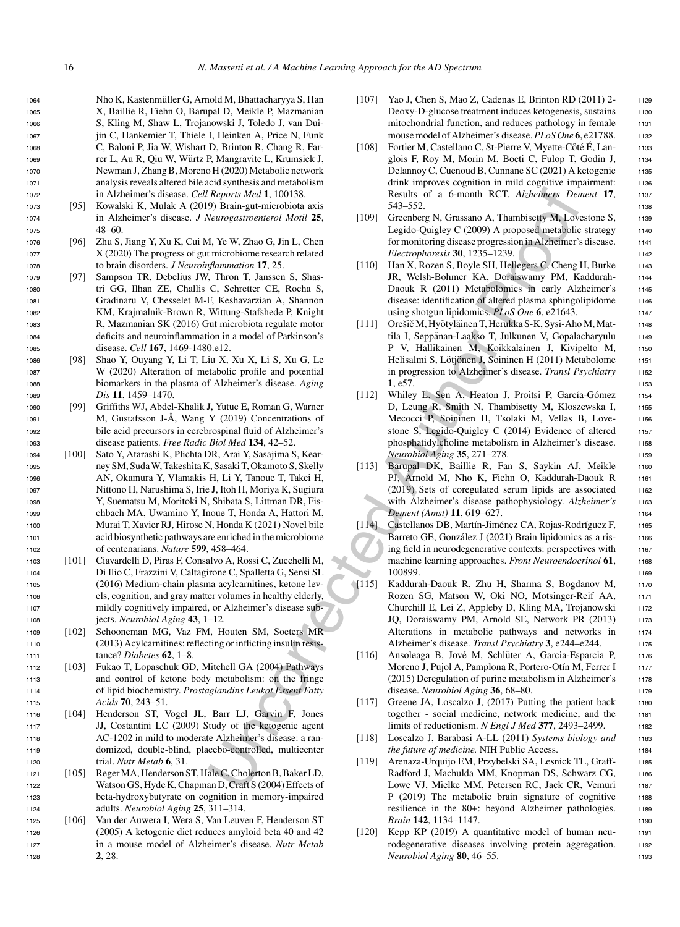1064 Nho K, Kastenmüller G, Arnold M, Bhattacharyya S, Han X, Baillie R, Fiehn O, Barupal D, Meikle P, Mazmanian S, Kling M, Shaw L, Trojanowski J, Toledo J, van Dui- jin C, Hankemier T, Thiele I, Heinken A, Price N, Funk C, Baloni P, Jia W, Wishart D, Brinton R, Chang R, Far-1069 rer L, Au R, Qiu W, Würtz P, Mangravite L, Krumsiek J, Newman J, Zhang B, Moreno H (2020) Metabolic network analysis reveals altered bile acid synthesis and metabolism in Alzheimer's disease. *Cell Reports Med* **1**, 100138.

- <sup>1073</sup> [95] Kowalski K, Mulak A (2019) Brain-gut-microbiota axis <sup>1074</sup> in Alzheimer's disease. *J Neurogastroenterol Motil* **25**, <sup>1075</sup> 48–60.
- <sup>1076</sup> [96] Zhu S, Jiang Y, Xu K, Cui M, Ye W, Zhao G, Jin L, Chen <sup>1077</sup> X (2020) The progress of gut microbiome research related <sup>1078</sup> to brain disorders. *J Neuroinflammation* **17**, 25.
- <sup>1079</sup> [97] Sampson TR, Debelius JW, Thron T, Janssen S, Shas-<sup>1080</sup> tri GG, Ilhan ZE, Challis C, Schretter CE, Rocha S, <sup>1081</sup> Gradinaru V, Chesselet M-F, Keshavarzian A, Shannon <sup>1082</sup> KM, Krajmalnik-Brown R, Wittung-Stafshede P, Knight <sup>1083</sup> R, Mazmanian SK (2016) Gut microbiota regulate motor <sup>1084</sup> deficits and neuroinflammation in a model of Parkinson's <sup>1085</sup> disease. *Cell* **167**, 1469-1480.e12.
- <sup>1086</sup> [98] Shao Y, Ouyang Y, Li T, Liu X, Xu X, Li S, Xu G, Le <sup>1087</sup> W (2020) Alteration of metabolic profile and potential <sup>1088</sup> biomarkers in the plasma of Alzheimer's disease. *Aging* <sup>1089</sup> *Dis* **11**, 1459–1470.
- <sup>1090</sup> [99] Griffiths WJ, Abdel-Khalik J, Yutuc E, Roman G, Warner 1091 M, Gustafsson J-Å, Wang Y (2019) Concentrations of <sup>1092</sup> bile acid precursors in cerebrospinal fluid of Alzheimer's <sup>1093</sup> disease patients. *Free Radic Biol Med* **134**, 42–52.
- <sup>1094</sup> [100] Sato Y, Atarashi K, Plichta DR, Arai Y, Sasajima S, Kear-<sup>1095</sup> ney SM, Suda W, Takeshita K, Sasaki T, Okamoto S, Skelly <sup>1096</sup> AN, Okamura Y, Vlamakis H, Li Y, Tanoue T, Takei H, <sup>1097</sup> Nittono H, Narushima S, Irie J, Itoh H, Moriya K, Sugiura <sup>1098</sup> Y, Suematsu M, Moritoki N, Shibata S, Littman DR, Fis-<sup>1099</sup> chbach MA, Uwamino Y, Inoue T, Honda A, Hattori M, <sup>1100</sup> Murai T, Xavier RJ, Hirose N, Honda K (2021) Novel bile <sup>1101</sup> acid biosynthetic pathways are enriched in the microbiome <sup>1102</sup> of centenarians. *Nature* **599**, 458–464.
- <sup>1103</sup> [101] Ciavardelli D, Piras F, Consalvo A, Rossi C, Zucchelli M, <sup>1104</sup> Di Ilio C, Frazzini V, Caltagirone C, Spalletta G, Sensi SL <sup>1105</sup> (2016) Medium-chain plasma acylcarnitines, ketone lev-<sup>1106</sup> els, cognition, and gray matter volumes in healthy elderly, <sup>1107</sup> mildly cognitively impaired, or Alzheimer's disease sub-<sup>1108</sup> jects. *Neurobiol Aging* **43**, 1–12.
- <sup>1109</sup> [102] Schooneman MG, Vaz FM, Houten SM, Soeters MR <sup>1110</sup> (2013) Acylcarnitines: reflecting or inflicting insulin resis-<sup>1111</sup> tance? *Diabetes* **62**, 1–8.
- <sup>1112</sup> [103] Fukao T, Lopaschuk GD, Mitchell GA (2004) Pathways <sup>1113</sup> and control of ketone body metabolism: on the fringe <sup>1114</sup> of lipid biochemistry. *Prostaglandins Leukot Essent Fatty* <sup>1115</sup> *Acids* **70**, 243–51.
- <sup>1116</sup> [104] Henderson ST, Vogel JL, Barr LJ, Garvin F, Jones <sup>1117</sup> JJ, Costantini LC (2009) Study of the ketogenic agent <sup>1118</sup> AC-1202 in mild to moderate Alzheimer's disease: a ran-<sup>1119</sup> domized, double-blind, placebo-controlled, multicenter <sup>1120</sup> trial. *Nutr Metab* **6**, 31.
- <sup>1121</sup> [105] Reger MA, Henderson ST, Hale C, Cholerton B, Baker LD, <sup>1122</sup> Watson GS, Hyde K, Chapman D, Craft S (2004) Effects of <sup>1123</sup> beta-hydroxybutyrate on cognition in memory-impaired <sup>1124</sup> adults. *Neurobiol Aging* **25**, 311–314.
- <sup>1125</sup> [106] Van der Auwera I, Wera S, Van Leuven F, Henderson ST <sup>1126</sup> (2005) A ketogenic diet reduces amyloid beta 40 and 42 <sup>1127</sup> in a mouse model of Alzheimer's disease. *Nutr Metab* <sup>1128</sup> **2**, 28.
- [107] Yao J, Chen S, Mao Z, Cadenas E, Brinton RD (2011) 2- 1129 Deoxy-D-glucose treatment induces ketogenesis, sustains 1130 mitochondrial function, and reduces pathology in female 1131 mouse model of Alzheimer's disease. PLoS One 6, e21788. 1132
- [108] Fortier M, Castellano C, St-Pierre V, Myette-Côté É, Lan- 1133 glois F, Roy M, Morin M, Bocti C, Fulop T, Godin J, 1134 Delannoy C, Cuenoud B, Cunnane SC (2021) A ketogenic 1135 drink improves cognition in mild cognitive impairment: 1136 Results of a 6-month RCT. *Alzheimers Dement* **17**, <sup>1137</sup> 543–552. <sup>1138</sup>
- [109] Greenberg N, Grassano A, Thambisetty M, Lovestone S, 1139 Legido-Quigley C (2009) A proposed metabolic strategy 1140 for monitoring disease progression in Alzheimer's disease. 1141 *Electrophoresis* **30**, 1235–1239. <sup>1142</sup>
- [110] Han X, Rozen S, Boyle SH, Hellegers C, Cheng H, Burke 1143 JR, Welsh-Bohmer KA, Doraiswamy PM, Kaddurah- <sup>1144</sup> Daouk R (2011) Metabolomics in early Alzheimer's 1145 disease: identification of altered plasma sphingolipidome 1146 using shotgun lipidomics. *PLoS One* **6**, e21643.
- [111] Orešič M, Hyötyläinen T, Herukka S-K, Sysi-Aho M, Mat- 1148 tila I, Seppänan-Laakso T, Julkunen V, Gopalacharyulu 1149 P V, Hallikainen M, Koikkalainen J, Kivipelto M, 1150 Helisalmi S, Lötjönen J, Soininen H (2011) Metabolome 1151 in progression to Alzheimer's disease. *Transl Psychiatry* <sup>1152</sup> **1**, e57. 1153
- [112] Whiley L, Sen A, Heaton J, Proitsi P, García-Gómez 1154 D, Leung R, Smith N, Thambisetty M, Kloszewska I, 1155 Mecocci P, Soininen H, Tsolaki M, Vellas B, Love- <sup>1156</sup> stone S, Legido-Quigley C (2014) Evidence of altered 1157 phosphatidylcholine metabolism in Alzheimer's disease. 1158 *Neurobiol Aging* **35**, 271–278. 1159
- [113] Barupal DK, Baillie R, Fan S, Saykin AJ, Meikle 1160 PJ, Arnold M, Nho K, Fiehn O, Kaddurah-Daouk R 1161 (2019) Sets of coregulated serum lipids are associated 1162 with Alzheimer's disease pathophysiology. Alzheimer's 1163 *Dement (Amst)* **11**, 619–627. <sup>1164</sup>
- [114] Castellanos DB, Martín-Jiménez CA, Rojas-Rodríguez F, 1165 Barreto GE, González J (2021) Brain lipidomics as a ris-<br>1166 ing field in neurodegenerative contexts: perspectives with 1167 machine learning approaches. *Front Neuroendocrinol* 61, 1168 100899. 1169
- Reports Motificant Schematics (a smooth RCT. Athenes De<br>
Neumatricicolica axis<br>
S43-552.<br>
Weampatrieschich Author 2.5, Statistical Author 2.5, Statistical Author Proof (19) Georgian Author Controlline<br>
Motive XP. All Cont [115] Kaddurah-Daouk R, Zhu H, Sharma S, Bogdanov M, <sup>1170</sup> Rozen SG, Matson W, Oki NO, Motsinger-Reif AA, 1171 Churchill E, Lei Z, Appleby D, Kling MA, Trojanowski 1172 JQ, Doraiswamy PM, Arnold SE, Network PR (2013) 1173 Alterations in metabolic pathways and networks in 1174 Alzheimer's disease. *Transl Psychiatry* **3**, e244–e244. <sup>1175</sup>
	- [116] Ansoleaga B, Jové M, Schlüter A, Garcia-Esparcia P, 1176 Moreno J, Pujol A, Pamplona R, Portero-Otín M, Ferrer I 1177 (2015) Deregulation of purine metabolism in Alzheimer's 1178 disease. *Neurobiol Aging* **36**, 68–80. 1179
	- [117] Greene JA, Loscalzo J, (2017) Putting the patient back 1180 together - social medicine, network medicine, and the <sup>1181</sup> limits of reductionism. *N Engl J Med* 377, 2493–2499. 1182
	- [118] Loscalzo J, Barabasi A-LL (2011) *Systems biology and* <sup>1183</sup> *the future of medicine.* NIH Public Access. 1184
	- [119] Arenaza-Urquijo EM, Przybelski SA, Lesnick TL, Graff- <sup>1185</sup> Radford J, Machulda MM, Knopman DS, Schwarz CG, 1186 Lowe VJ, Mielke MM, Petersen RC, Jack CR, Vemuri 1187 P (2019) The metabolic brain signature of cognitive 1188 resilience in the 80+: beyond Alzheimer pathologies. 1189 *Brain* **142**, 1134–1147. 1190
	- [120] Kepp KP (2019) A quantitative model of human neu- <sup>1191</sup> rodegenerative diseases involving protein aggregation. 1192 *Neurobiol Aging* **80**, 46–55. 1193